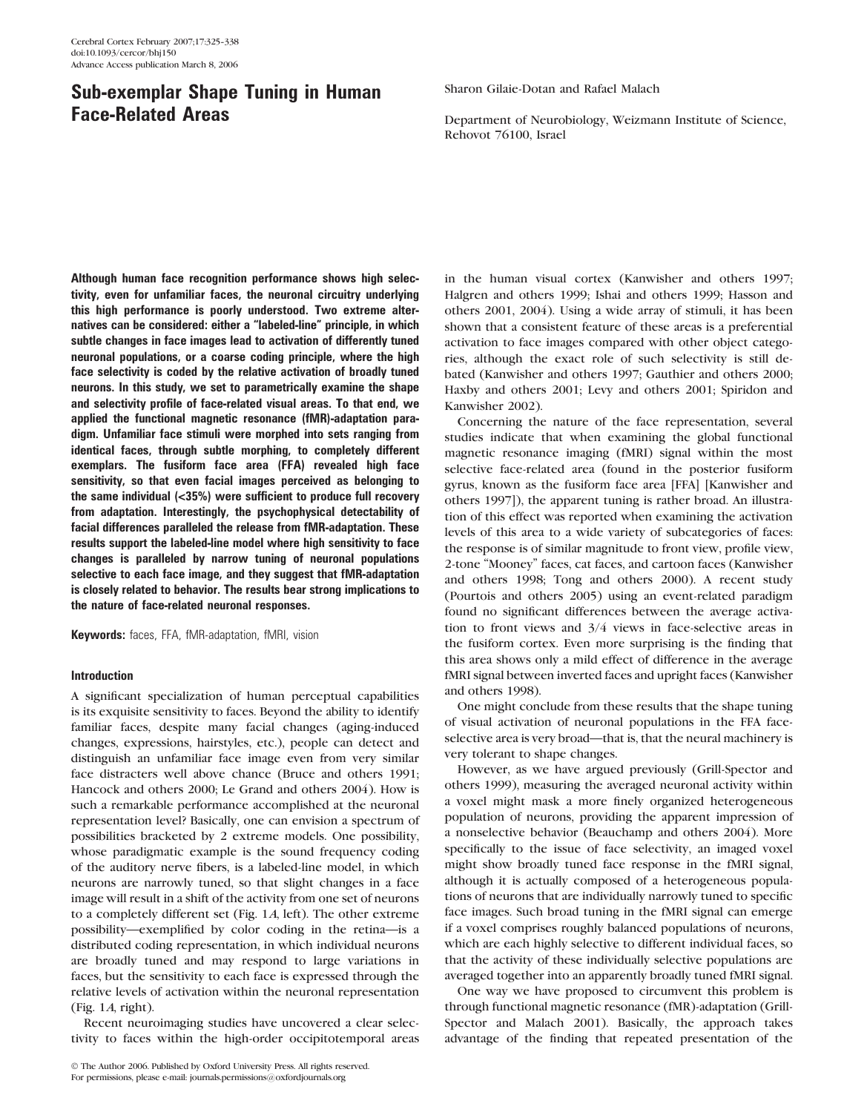# Sub-exemplar Shape Tuning in Human Face-Related Areas

Although human face recognition performance shows high selectivity, even for unfamiliar faces, the neuronal circuitry underlying this high performance is poorly understood. Two extreme alternatives can be considered: either a ''labeled-line'' principle, in which subtle changes in face images lead to activation of differently tuned neuronal populations, or a coarse coding principle, where the high face selectivity is coded by the relative activation of broadly tuned neurons. In this study, we set to parametrically examine the shape and selectivity profile of face-related visual areas. To that end, we applied the functional magnetic resonance (fMR)-adaptation paradigm. Unfamiliar face stimuli were morphed into sets ranging from identical faces, through subtle morphing, to completely different exemplars. The fusiform face area (FFA) revealed high face sensitivity, so that even facial images perceived as belonging to the same individual (<35%) were sufficient to produce full recovery from adaptation. Interestingly, the psychophysical detectability of facial differences paralleled the release from fMR-adaptation. These results support the labeled-line model where high sensitivity to face changes is paralleled by narrow tuning of neuronal populations selective to each face image, and they suggest that fMR-adaptation is closely related to behavior. The results bear strong implications to the nature of face-related neuronal responses.

Keywords: faces, FFA, fMR-adaptation, fMRI, vision

# Introduction

A significant specialization of human perceptual capabilities is its exquisite sensitivity to faces. Beyond the ability to identify familiar faces, despite many facial changes (aging-induced changes, expressions, hairstyles, etc.), people can detect and distinguish an unfamiliar face image even from very similar face distracters well above chance (Bruce and others 1991; Hancock and others 2000; Le Grand and others 2004). How is such a remarkable performance accomplished at the neuronal representation level? Basically, one can envision a spectrum of possibilities bracketed by 2 extreme models. One possibility, whose paradigmatic example is the sound frequency coding of the auditory nerve fibers, is a labeled-line model, in which neurons are narrowly tuned, so that slight changes in a face image will result in a shift of the activity from one set of neurons to a completely different set (Fig. 1A, left). The other extreme possibility—exemplified by color coding in the retina—is a distributed coding representation, in which individual neurons are broadly tuned and may respond to large variations in faces, but the sensitivity to each face is expressed through the relative levels of activation within the neuronal representation (Fig. 1A, right).

Recent neuroimaging studies have uncovered a clear selectivity to faces within the high-order occipitotemporal areas

 The Author 2006. Published by Oxford University Press. All rights reserved. For permissions, please e-mail: journals.permissions@oxfordjournals.org

Sharon Gilaie-Dotan and Rafael Malach

Department of Neurobiology, Weizmann Institute of Science, Rehovot 76100, Israel

in the human visual cortex (Kanwisher and others 1997; Halgren and others 1999; Ishai and others 1999; Hasson and others 2001, 2004). Using a wide array of stimuli, it has been shown that a consistent feature of these areas is a preferential activation to face images compared with other object categories, although the exact role of such selectivity is still debated (Kanwisher and others 1997; Gauthier and others 2000; Haxby and others 2001; Levy and others 2001; Spiridon and Kanwisher 2002).

Concerning the nature of the face representation, several studies indicate that when examining the global functional magnetic resonance imaging (fMRI) signal within the most selective face-related area (found in the posterior fusiform gyrus, known as the fusiform face area [FFA] [Kanwisher and others 1997]), the apparent tuning is rather broad. An illustration of this effect was reported when examining the activation levels of this area to a wide variety of subcategories of faces: the response is of similar magnitude to front view, profile view, 2-tone ''Mooney'' faces, cat faces, and cartoon faces (Kanwisher and others 1998; Tong and others 2000). A recent study (Pourtois and others 2005) using an event-related paradigm found no significant differences between the average activation to front views and 3/4 views in face-selective areas in the fusiform cortex. Even more surprising is the finding that this area shows only a mild effect of difference in the average fMRI signal between inverted faces and upright faces (Kanwisher and others 1998).

One might conclude from these results that the shape tuning of visual activation of neuronal populations in the FFA faceselective area is very broad—that is, that the neural machinery is very tolerant to shape changes.

However, as we have argued previously (Grill-Spector and others 1999), measuring the averaged neuronal activity within a voxel might mask a more finely organized heterogeneous population of neurons, providing the apparent impression of a nonselective behavior (Beauchamp and others 2004). More specifically to the issue of face selectivity, an imaged voxel might show broadly tuned face response in the fMRI signal, although it is actually composed of a heterogeneous populations of neurons that are individually narrowly tuned to specific face images. Such broad tuning in the fMRI signal can emerge if a voxel comprises roughly balanced populations of neurons, which are each highly selective to different individual faces, so that the activity of these individually selective populations are averaged together into an apparently broadly tuned fMRI signal.

One way we have proposed to circumvent this problem is through functional magnetic resonance (fMR)-adaptation (Grill-Spector and Malach 2001). Basically, the approach takes advantage of the finding that repeated presentation of the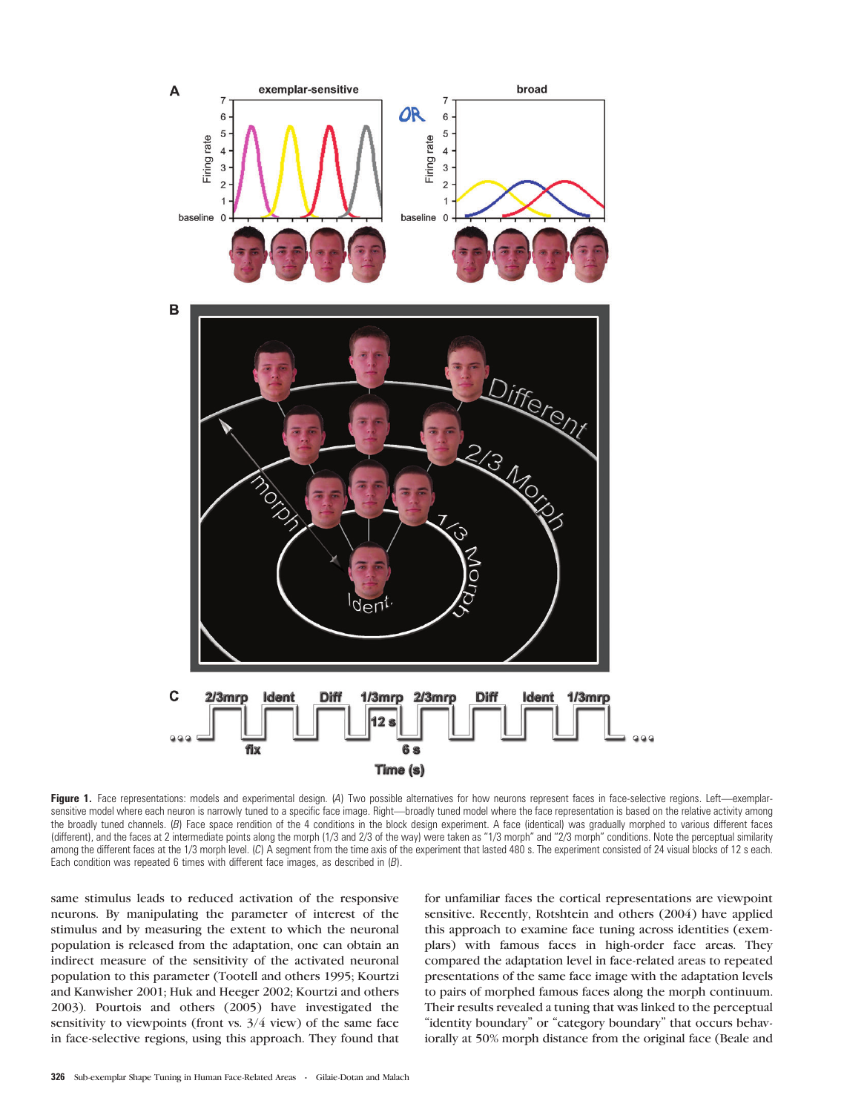

Figure 1. Face representations: models and experimental design. (A) Two possible alternatives for how neurons represent faces in face-selective regions. Left—exemplarsensitive model where each neuron is narrowly tuned to a specific face image. Right—broadly tuned model where the face representation is based on the relative activity among the broadly tuned channels. (B) Face space rendition of the 4 conditions in the block design experiment. A face (identical) was gradually morphed to various different faces (different), and the faces at 2 intermediate points along the morph (1/3 and 2/3 of the way) were taken as "1/3 morph" and "2/3 morph" conditions. Note the perceptual similarity among the different faces at the 1/3 morph level. (C) A segment from the time axis of the experiment that lasted 480 s. The experiment consisted of 24 visual blocks of 12 s each. Each condition was repeated 6 times with different face images, as described in  $(B)$ .

same stimulus leads to reduced activation of the responsive neurons. By manipulating the parameter of interest of the stimulus and by measuring the extent to which the neuronal population is released from the adaptation, one can obtain an indirect measure of the sensitivity of the activated neuronal population to this parameter (Tootell and others 1995; Kourtzi and Kanwisher 2001; Huk and Heeger 2002; Kourtzi and others 2003). Pourtois and others (2005) have investigated the sensitivity to viewpoints (front vs. 3/4 view) of the same face in face-selective regions, using this approach. They found that for unfamiliar faces the cortical representations are viewpoint sensitive. Recently, Rotshtein and others (2004) have applied this approach to examine face tuning across identities (exemplars) with famous faces in high-order face areas. They compared the adaptation level in face-related areas to repeated presentations of the same face image with the adaptation levels to pairs of morphed famous faces along the morph continuum. Their results revealed a tuning that was linked to the perceptual "identity boundary" or "category boundary" that occurs behaviorally at 50% morph distance from the original face (Beale and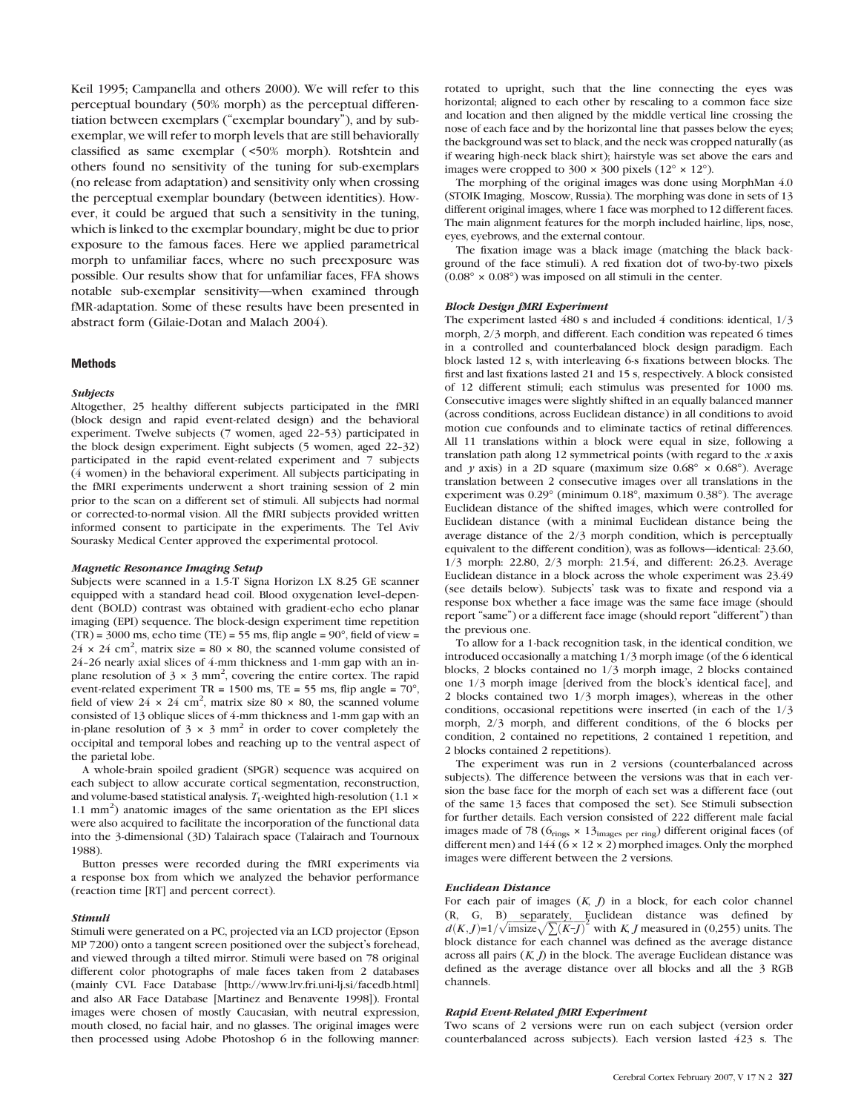Keil 1995; Campanella and others 2000). We will refer to this perceptual boundary (50% morph) as the perceptual differentiation between exemplars ("exemplar boundary"), and by subexemplar, we will refer to morph levels that are still behaviorally classified as same exemplar ( <50% morph). Rotshtein and others found no sensitivity of the tuning for sub-exemplars (no release from adaptation) and sensitivity only when crossing the perceptual exemplar boundary (between identities). However, it could be argued that such a sensitivity in the tuning, which is linked to the exemplar boundary, might be due to prior exposure to the famous faces. Here we applied parametrical morph to unfamiliar faces, where no such preexposure was possible. Our results show that for unfamiliar faces, FFA shows notable sub-exemplar sensitivity—when examined through fMR-adaptation. Some of these results have been presented in abstract form (Gilaie-Dotan and Malach 2004).

# **Methods**

#### Subjects

Altogether, 25 healthy different subjects participated in the fMRI (block design and rapid event-related design) and the behavioral experiment. Twelve subjects (7 women, aged 22-53) participated in the block design experiment. Eight subjects (5 women, aged 22-32) participated in the rapid event-related experiment and 7 subjects (4 women) in the behavioral experiment. All subjects participating in the fMRI experiments underwent a short training session of 2 min prior to the scan on a different set of stimuli. All subjects had normal or corrected-to-normal vision. All the fMRI subjects provided written informed consent to participate in the experiments. The Tel Aviv Sourasky Medical Center approved the experimental protocol.

#### Magnetic Resonance Imaging Setup

Subjects were scanned in a 1.5-T Signa Horizon LX 8.25 GE scanner equipped with a standard head coil. Blood oxygenation level-dependent (BOLD) contrast was obtained with gradient-echo echo planar imaging (EPI) sequence. The block-design experiment time repetition  $(TR) = 3000$  ms, echo time  $(TE) = 55$  ms, flip angle =  $90^{\circ}$ , field of view =  $24 \times 24$  cm<sup>2</sup>, matrix size = 80  $\times$  80, the scanned volume consisted of 24-26 nearly axial slices of 4-mm thickness and 1-mm gap with an inplane resolution of  $3 \times 3$  mm<sup>2</sup>, covering the entire cortex. The rapid event-related experiment TR = 1500 ms, TE = 55 ms, flip angle =  $70^{\circ}$ , field of view  $24 \times 24$  cm<sup>2</sup>, matrix size 80  $\times$  80, the scanned volume consisted of 13 oblique slices of 4-mm thickness and 1-mm gap with an in-plane resolution of  $3 \times 3$  mm<sup>2</sup> in order to cover completely the occipital and temporal lobes and reaching up to the ventral aspect of the parietal lobe.

A whole-brain spoiled gradient (SPGR) sequence was acquired on each subject to allow accurate cortical segmentation, reconstruction, and volume-based statistical analysis.  $T_1$ -weighted high-resolution (1.1  $\times$ 1.1 mm<sup>2</sup>) anatomic images of the same orientation as the EPI slices were also acquired to facilitate the incorporation of the functional data into the 3-dimensional (3D) Talairach space (Talairach and Tournoux 1988).

Button presses were recorded during the fMRI experiments via a response box from which we analyzed the behavior performance (reaction time [RT] and percent correct).

#### Stimuli

Stimuli were generated on a PC, projected via an LCD projector (Epson MP 7200) onto a tangent screen positioned over the subject's forehead, and viewed through a tilted mirror. Stimuli were based on 78 original different color photographs of male faces taken from 2 databases (mainly CVL Face Database [\[http://www.lrv.fri.uni-lj.si/facedb.html\]](http://www.lrv.fri.uni-lj.si/facedb.html) and also AR Face Database [Martinez and Benavente 1998]). Frontal images were chosen of mostly Caucasian, with neutral expression, mouth closed, no facial hair, and no glasses. The original images were then processed using Adobe Photoshop 6 in the following manner:

rotated to upright, such that the line connecting the eyes was horizontal; aligned to each other by rescaling to a common face size and location and then aligned by the middle vertical line crossing the nose of each face and by the horizontal line that passes below the eyes; the background was set to black, and the neck was cropped naturally (as if wearing high-neck black shirt); hairstyle was set above the ears and images were cropped to  $300 \times 300$  pixels  $(12^{\circ} \times 12^{\circ})$ .

The morphing of the original images was done using MorphMan 4.0 (STOIK Imaging, Moscow, Russia). The morphing was done in sets of 13 different original images, where 1 face was morphed to 12 different faces. The main alignment features for the morph included hairline, lips, nose, eyes, eyebrows, and the external contour.

The fixation image was a black image (matching the black background of the face stimuli). A red fixation dot of two-by-two pixels  $(0.08^{\circ} \times 0.08^{\circ})$  was imposed on all stimuli in the center.

#### Block Design fMRI Experiment

The experiment lasted 480 s and included 4 conditions: identical, 1/3 morph, 2/3 morph, and different. Each condition was repeated 6 times in a controlled and counterbalanced block design paradigm. Each block lasted 12 s, with interleaving 6-s fixations between blocks. The first and last fixations lasted 21 and 15 s, respectively. A block consisted of 12 different stimuli; each stimulus was presented for 1000 ms. Consecutive images were slightly shifted in an equally balanced manner (across conditions, across Euclidean distance) in all conditions to avoid motion cue confounds and to eliminate tactics of retinal differences. All 11 translations within a block were equal in size, following a translation path along 12 symmetrical points (with regard to the  $x$  axis and y axis) in a 2D square (maximum size  $0.68^{\circ} \times 0.68^{\circ}$ ). Average translation between 2 consecutive images over all translations in the experiment was 0.29° (minimum 0.18°, maximum 0.38°). The average Euclidean distance of the shifted images, which were controlled for Euclidean distance (with a minimal Euclidean distance being the average distance of the 2/3 morph condition, which is perceptually equivalent to the different condition), was as follows—identical: 23.60, 1/3 morph: 22.80, 2/3 morph: 21.54, and different: 26.23. Average Euclidean distance in a block across the whole experiment was 23.49 (see details below). Subjects' task was to fixate and respond via a response box whether a face image was the same face image (should report "same") or a different face image (should report "different") than the previous one.

To allow for a 1-back recognition task, in the identical condition, we introduced occasionally a matching 1/3 morph image (of the 6 identical blocks, 2 blocks contained no 1/3 morph image, 2 blocks contained one 1/3 morph image [derived from the block's identical face], and 2 blocks contained two 1/3 morph images), whereas in the other conditions, occasional repetitions were inserted (in each of the 1/3 morph, 2/3 morph, and different conditions, of the 6 blocks per condition, 2 contained no repetitions, 2 contained 1 repetition, and 2 blocks contained 2 repetitions).

The experiment was run in 2 versions (counterbalanced across subjects). The difference between the versions was that in each version the base face for the morph of each set was a different face (out of the same 13 faces that composed the set). See Stimuli subsection for further details. Each version consisted of 222 different male facial images made of 78 ( $6_{\text{rings}} \times 13_{\text{images per ring}}$ ) different original faces (of different men) and  $144 (6 \times 12 \times 2)$  morphed images. Only the morphed images were different between the 2 versions.

#### Euclidean Distance

For each pair of images  $(K, J)$  in a block, for each color channel (R, G, B) separately, Euclidean distance was defined by  $d(K, G, B)$  separately, Euclidean distance was defined by  $d(K, J)=1/\sqrt{\text{imsize}\sqrt{\sum (K-J)}^2}$  with K, J measured in (0,255) units. The block distance for each channel was defined as the average distance across all pairs  $(K, J)$  in the block. The average Euclidean distance was defined as the average distance over all blocks and all the 3 RGB channels.

## Rapid Event-Related fMRI Experiment

Two scans of 2 versions were run on each subject (version order counterbalanced across subjects). Each version lasted 423 s. The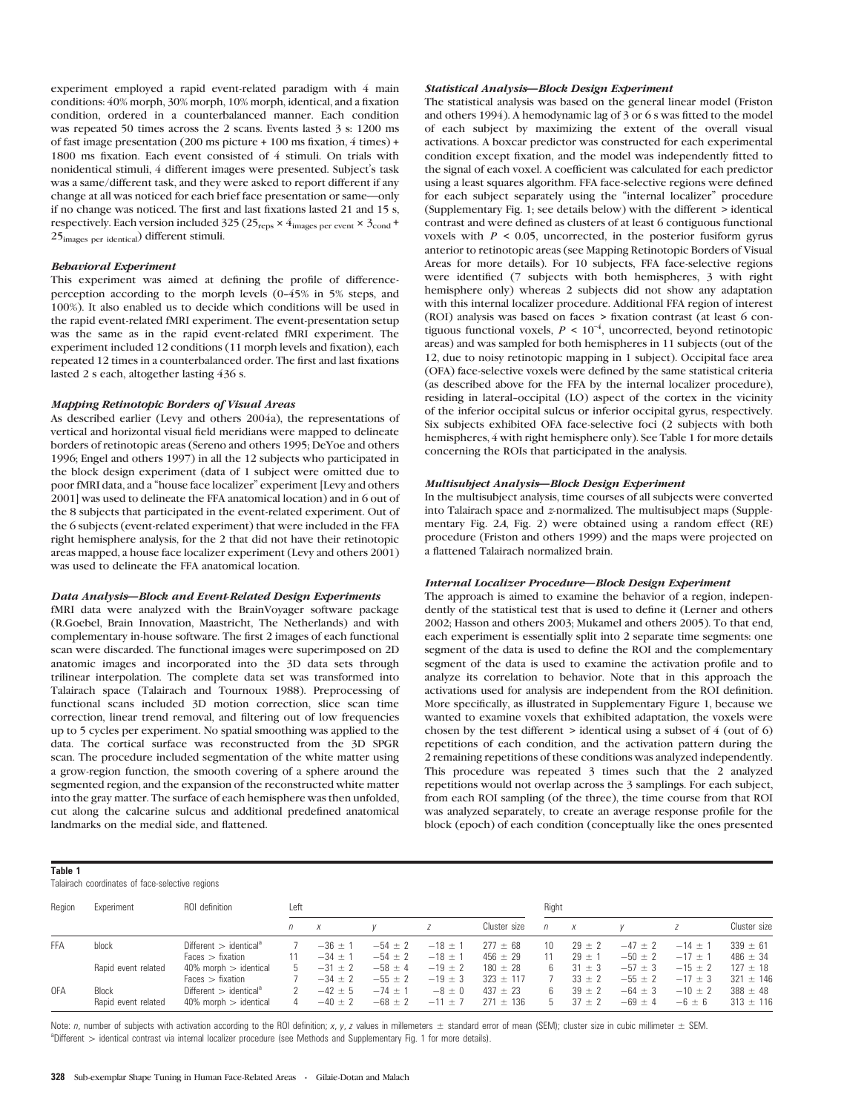experiment employed a rapid event-related paradigm with 4 main conditions: 40% morph, 30% morph, 10% morph, identical, and a fixation condition, ordered in a counterbalanced manner. Each condition was repeated 50 times across the 2 scans. Events lasted 3 s: 1200 ms of fast image presentation (200 ms picture + 100 ms fixation, 4 times) + 1800 ms fixation. Each event consisted of 4 stimuli. On trials with nonidentical stimuli, 4 different images were presented. Subject's task was a same/different task, and they were asked to report different if any change at all was noticed for each brief face presentation or same—only if no change was noticed. The first and last fixations lasted 21 and 15 s, respectively. Each version included 325 (25<sub>reps</sub>  $\times$  4<sub>images per event</sub>  $\times$  3<sub>cond</sub> + 25images per identical) different stimuli.

#### Behavioral Experiment

This experiment was aimed at defining the profile of differenceperception according to the morph levels (0-45% in 5% steps, and 100%). It also enabled us to decide which conditions will be used in the rapid event-related fMRI experiment. The event-presentation setup was the same as in the rapid event-related fMRI experiment. The experiment included 12 conditions (11 morph levels and fixation), each repeated 12 times in a counterbalanced order. The first and last fixations lasted 2 s each, altogether lasting 436 s.

## Mapping Retinotopic Borders of Visual Areas

As described earlier (Levy and others 2004a), the representations of vertical and horizontal visual field meridians were mapped to delineate borders of retinotopic areas (Sereno and others 1995; DeYoe and others 1996; Engel and others 1997) in all the 12 subjects who participated in the block design experiment (data of 1 subject were omitted due to poor fMRI data, and a ''house face localizer'' experiment [Levy and others 2001] was used to delineate the FFA anatomical location) and in 6 out of the 8 subjects that participated in the event-related experiment. Out of the 6 subjects (event-related experiment) that were included in the FFA right hemisphere analysis, for the 2 that did not have their retinotopic areas mapped, a house face localizer experiment (Levy and others 2001) was used to delineate the FFA anatomical location.

#### Data Analysis—Block and Event-Related Design Experiments

fMRI data were analyzed with the BrainVoyager software package (R.Goebel, Brain Innovation, Maastricht, The Netherlands) and with complementary in-house software. The first 2 images of each functional scan were discarded. The functional images were superimposed on 2D anatomic images and incorporated into the 3D data sets through trilinear interpolation. The complete data set was transformed into Talairach space (Talairach and Tournoux 1988). Preprocessing of functional scans included 3D motion correction, slice scan time correction, linear trend removal, and filtering out of low frequencies up to 5 cycles per experiment. No spatial smoothing was applied to the data. The cortical surface was reconstructed from the 3D SPGR scan. The procedure included segmentation of the white matter using a grow-region function, the smooth covering of a sphere around the segmented region, and the expansion of the reconstructed white matter into the gray matter. The surface of each hemisphere was then unfolded, cut along the calcarine sulcus and additional predefined anatomical landmarks on the medial side, and flattened.

## Statistical Analysis—Block Design Experiment

The statistical analysis was based on the general linear model (Friston and others 1994). A hemodynamic lag of 3 or 6 s was fitted to the model of each subject by maximizing the extent of the overall visual activations. A boxcar predictor was constructed for each experimental condition except fixation, and the model was independently fitted to the signal of each voxel. A coefficient was calculated for each predictor using a least squares algorithm. FFA face-selective regions were defined for each subject separately using the ''internal localizer'' procedure (Supplementary Fig. 1; see details below) with the different > identical contrast and were defined as clusters of at least 6 contiguous functional voxels with  $P \le 0.05$ , uncorrected, in the posterior fusiform gyrus anterior to retinotopic areas (see Mapping Retinotopic Borders of Visual Areas for more details). For 10 subjects, FFA face-selective regions were identified (7 subjects with both hemispheres, 3 with right hemisphere only) whereas 2 subjects did not show any adaptation with this internal localizer procedure. Additional FFA region of interest (ROI) analysis was based on faces > fixation contrast (at least 6 contiguous functional voxels,  $P \leq 10^{-4}$ , uncorrected, beyond retinotopic areas) and was sampled for both hemispheres in 11 subjects (out of the 12, due to noisy retinotopic mapping in 1 subject). Occipital face area (OFA) face-selective voxels were defined by the same statistical criteria (as described above for the FFA by the internal localizer procedure), residing in lateral-occipital (LO) aspect of the cortex in the vicinity of the inferior occipital sulcus or inferior occipital gyrus, respectively. Six subjects exhibited OFA face-selective foci (2 subjects with both hemispheres, 4 with right hemisphere only). See Table 1 for more details concerning the ROIs that participated in the analysis.

## Multisubject Analysis—Block Design Experiment

In the multisubject analysis, time courses of all subjects were converted into Talairach space and z-normalized. The multisubject maps (Supplementary Fig. 2A, Fig. 2) were obtained using a random effect (RE) procedure (Friston and others 1999) and the maps were projected on a flattened Talairach normalized brain.

### Internal Localizer Procedure—Block Design Experiment

The approach is aimed to examine the behavior of a region, independently of the statistical test that is used to define it (Lerner and others 2002; Hasson and others 2003; Mukamel and others 2005). To that end, each experiment is essentially split into 2 separate time segments: one segment of the data is used to define the ROI and the complementary segment of the data is used to examine the activation profile and to analyze its correlation to behavior. Note that in this approach the activations used for analysis are independent from the ROI definition. More specifically, as illustrated in Supplementary Figure 1, because we wanted to examine voxels that exhibited adaptation, the voxels were chosen by the test different > identical using a subset of 4 (out of 6) repetitions of each condition, and the activation pattern during the 2 remaining repetitions of these conditions was analyzed independently. This procedure was repeated 3 times such that the 2 analyzed repetitions would not overlap across the 3 samplings. For each subject, from each ROI sampling (of the three), the time course from that ROI was analyzed separately, to create an average response profile for the block (epoch) of each condition (conceptually like the ones presented

#### Table 1

Talairach coordinates of face-selective regions

| Region     | Experiment                          | ROI definition                                                     | Left |                            |                                           |                                          | Right                         |          |                                        |                            |                            |                               |
|------------|-------------------------------------|--------------------------------------------------------------------|------|----------------------------|-------------------------------------------|------------------------------------------|-------------------------------|----------|----------------------------------------|----------------------------|----------------------------|-------------------------------|
|            |                                     |                                                                    | n    |                            |                                           |                                          | Cluster size                  | n        | X                                      |                            |                            | Cluster size                  |
| <b>FFA</b> | block                               | Different $>$ identical <sup>a</sup><br>$Faces$ > fixation         |      | $-36 \pm 1$<br>$-34 \pm 1$ | $-54 \pm 2$<br>$-54 \pm 2$                | $-18 \pm 1$<br>$-18 \pm 1$               | $277 \pm 68$<br>$456 \pm 29$  | 10       | $29 \pm 2$<br>$29 \pm 1$               | $-47 \pm 2$<br>$-50 \pm 2$ | $-14 \pm 1$<br>$-17 \pm 1$ | $339 \pm 61$<br>$486 \pm 34$  |
|            | Rapid event related                 | $40\%$ morph $>$ identical<br>$Faces$ > fixation                   | h    | $-31 \pm 2$<br>$-34 \pm 2$ | $-58 \pm 4$                               | $-19 \pm 2$                              | $180 \pm 28$<br>$323 \pm 117$ |          | $31 \pm 3$                             | $-57 \pm 3$<br>$-55 \pm 2$ | $-15 \pm 2$<br>$-17 \pm 3$ | $127 \pm 18$<br>$321 \pm 146$ |
| 0FA        | <b>Block</b><br>Rapid event related | Different $>$ identical <sup>a</sup><br>$40\%$ morph $>$ identical |      | $-42 \pm 5$<br>$-40 \pm 2$ | $-55 \pm 2$<br>$-74 \pm 1$<br>$-68 \pm 2$ | $-19 \pm 3$<br>$-8 \pm 0$<br>$-11 \pm 7$ | $437 \pm 23$<br>$271 \pm 136$ | 6.<br>h. | $33 \pm 2$<br>$39 \pm 2$<br>$37 \pm 2$ | $-64 \pm 3$<br>$-69 \pm 4$ | $-10 \pm 2$<br>$-6 \pm 6$  | $388 \pm 48$<br>$313 \pm 116$ |

Note: n, number of subjects with activation according to the ROI definition; x, y, z values in millemeters  $\pm$  standard error of mean (SEM); cluster size in cubic millimeter  $\pm$  SEM. aDifferent > identical contrast via internal localizer procedure (see Methods and Supplementary Fig. 1 for more details).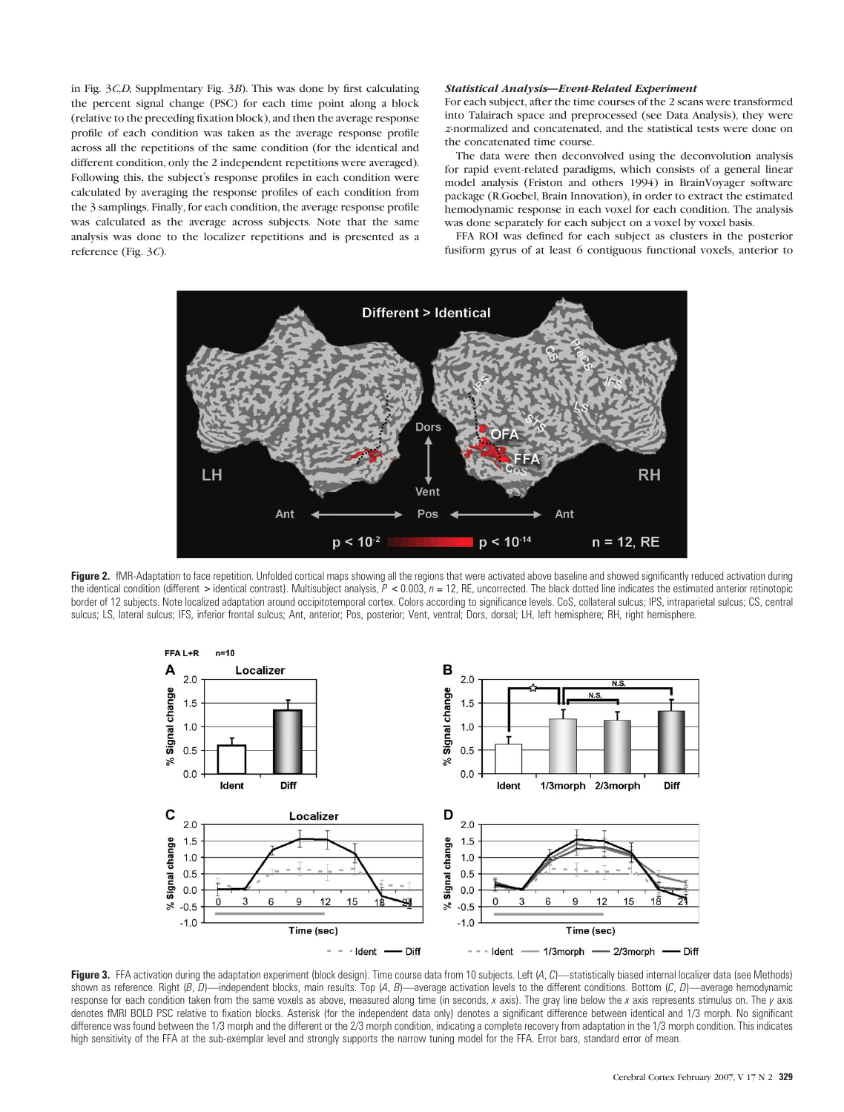in Fig. 3C,D, Supplmentary Fig. 3B). This was done by first calculating the percent signal change (PSC) for each time point along a block (relative to the preceding fixation block), and then the average response profile of each condition was taken as the average response profile across all the repetitions of the same condition (for the identical and different condition, only the 2 independent repetitions were averaged). Following this, the subject's response profiles in each condition were calculated by averaging the response profiles of each condition from the 3 samplings. Finally, for each condition, the average response profile was calculated as the average across subjects. Note that the same analysis was done to the localizer repetitions and is presented as a reference (Fig. 3C).

## Statistical Analysis—Event-Related Experiment

For each subject, after the time courses of the 2 scans were transformed into Talairach space and preprocessed (see Data Analysis), they were z-normalized and concatenated, and the statistical tests were done on the concatenated time course.

The data were then deconvolved using the deconvolution analysis for rapid event-related paradigms, which consists of a general linear model analysis (Friston and others 1994) in BrainVoyager software package (R.Goebel, Brain Innovation), in order to extract the estimated hemodynamic response in each voxel for each condition. The analysis was done separately for each subject on a voxel by voxel basis.

FFA ROI was defined for each subject as clusters in the posterior fusiform gyrus of at least 6 contiguous functional voxels, anterior to



Figure 2. fMR-Adaptation to face repetition. Unfolded cortical maps showing all the regions that were activated above baseline and showed significantly reduced activation during the identical condition (different > identical contrast). Multisubject analysis,  $P < 0.003$ ,  $n = 12$ , RE, uncorrected. The black dotted line indicates the estimated anterior retinotopic border of 12 subjects. Note localized adaptation around occipitotemporal cortex. Colors according to significance levels. CoS, collateral sulcus; IPS, intraparietal sulcus; CS, central sulcus; LS, lateral sulcus; IFS, inferior frontal sulcus; Ant, anterior; Pos, posterior; Vent, ventral; Dors, dorsal; LH, left hemisphere; RH, right hemisphere.



Figure 3. FFA activation during the adaptation experiment (block design). Time course data from 10 subjects. Left (A, C)—statistically biased internal localizer data (see Methods) shown as reference. Right  $(B, D)$ —independent blocks, main results. Top  $(A, B)$ —average activation levels to the different conditions. Bottom  $(C, D)$ —average hemodynamic response for each condition taken from the same voxels as above, measured along time (in seconds, x axis). The gray line below the x axis represents stimulus on. The y axis denotes fMRI BOLD PSC relative to fixation blocks. Asterisk (for the independent data only) denotes a significant difference between identical and 1/3 morph. No significant difference was found between the 1/3 morph and the different or the 2/3 morph condition, indicating a complete recovery from adaptation in the 1/3 morph condition. This indicates high sensitivity of the FFA at the sub-exemplar level and strongly supports the narrow tuning model for the FFA. Error bars, standard error of mean.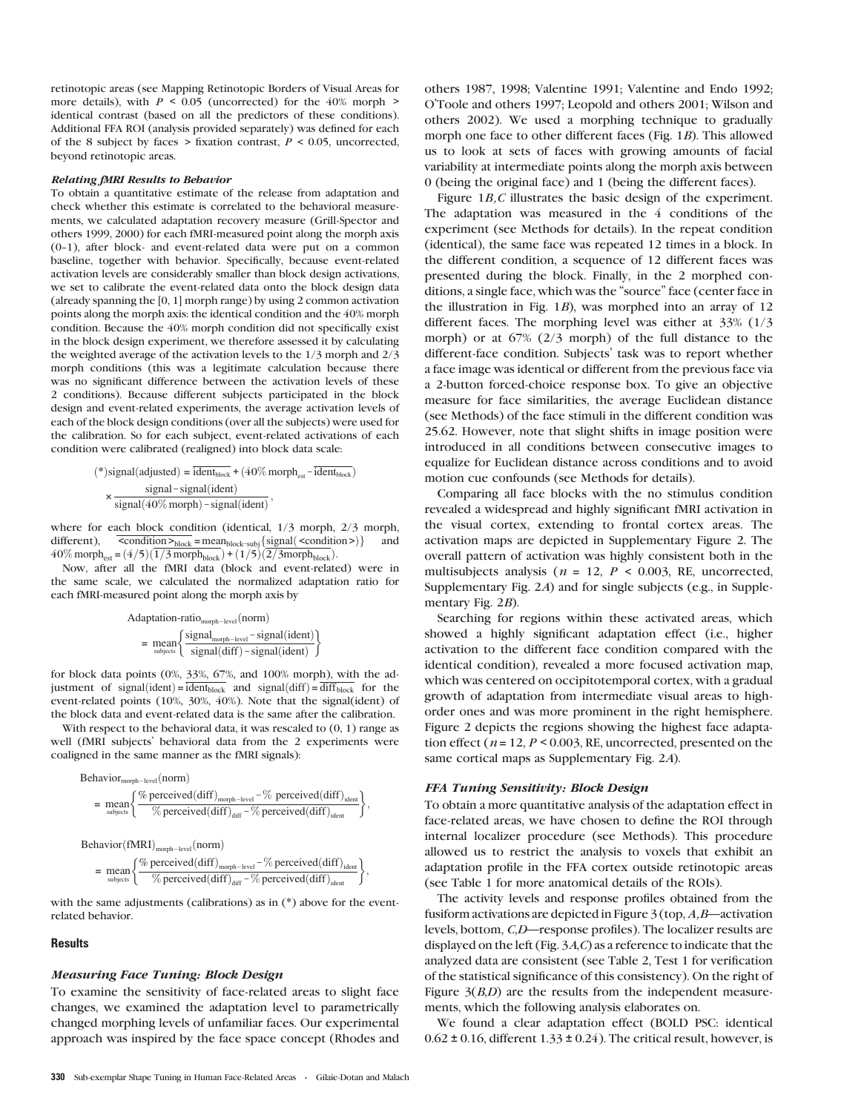retinotopic areas (see Mapping Retinotopic Borders of Visual Areas for more details), with  $P \le 0.05$  (uncorrected) for the 40% morph > identical contrast (based on all the predictors of these conditions). Additional FFA ROI (analysis provided separately) was defined for each of the 8 subject by faces > fixation contrast,  $P < 0.05$ , uncorrected, beyond retinotopic areas.

#### Relating fMRI Results to Behavior

To obtain a quantitative estimate of the release from adaptation and check whether this estimate is correlated to the behavioral measurements, we calculated adaptation recovery measure (Grill-Spector and others 1999, 2000) for each fMRI-measured point along the morph axis  $(0-1)$ , after block- and event-related data were put on a common baseline, together with behavior. Specifically, because event-related activation levels are considerably smaller than block design activations, we set to calibrate the event-related data onto the block design data (already spanning the [0, 1] morph range) by using 2 common activation points along the morph axis: the identical condition and the 40% morph condition. Because the 40% morph condition did not specifically exist in the block design experiment, we therefore assessed it by calculating the weighted average of the activation levels to the 1/3 morph and 2/3 morph conditions (this was a legitimate calculation because there was no significant difference between the activation levels of these 2 conditions). Because different subjects participated in the block design and event-related experiments, the average activation levels of each of the block design conditions (over all the subjects) were used for the calibration. So for each subject, event-related activations of each condition were calibrated (realigned) into block data scale:

$$
(*) signal(adjusted) = \frac{\text{ident}_{block}}{\text{ideal} + (40\% \text{ morph}_{est} - \text{ident}_{block})}
$$

$$
\times \frac{\text{signal} - \text{signal}(\text{ident})}{\text{signal}(40\% \text{ morph}) - \text{signal}(\text{ident})},
$$

where for each block condition (identical, 1/3 morph, 2/3 morph, different),  $\overline{\text{condition >}}_{block} = \text{mean}_{block-subj}\{\text{signal}(\text{~condition >})\}$  $40\%$  morph<sub>est</sub> =  $(4/5)(1/3$  morph<sub>block</sub> $)+(1/5)(2/3$ morph<sub>block</sub> $).$ 

Now, after all the fMRI data (block and event-related) were in the same scale, we calculated the normalized adaptation ratio for each fMRI-measured point along the morph axis by

Adaptation-ratio<sub>morph-level</sub> (norm)  
= mean
$$
\begin{cases}\n\frac{\text{signal}_{\text{morph-level}} - \text{signal}(ident)}{\text{signal}(diff) - \text{signal}(ident)}\n\end{cases}
$$

for block data points (0%, 33%, 67%, and 100% morph), with the adjustment of signal(ident) =  $\frac{1}{\text{ident}_{\text{block}}}$  and signal(diff) =  $\frac{1}{\text{diff}_{\text{block}}}$  for the event-related points (10%, 30%, 40%). Note that the signal(ident) of the block data and event-related data is the same after the calibration.

With respect to the behavioral data, it was rescaled to  $(0, 1)$  range as well (fMRI subjects' behavioral data from the 2 experiments were coaligned in the same manner as the fMRI signals):

$$
\text{Behavior}_{\text{morph-level}}(\text{norm}) \\ = \underset{\text{subjets}}{\text{mean}} \left\{ \frac{\% \text{ perceived}(\text{diff})_{\text{morph-level}} - \% \text{ perceived}(\text{diff})_{\text{ident}}}{\% \text{ perceived}(\text{diff})_{\text{diff}} - \% \text{ perceived}(\text{diff})_{\text{ident}}} \right\}
$$

;

$$
\text{Behavior}(\text{fMRI})_{\text{morph-level}}(\text{norm}) = \underset{\text{subjets}}{\text{mean}} \left\{ \frac{\% \text{ perceived}(\text{diff})_{\text{morph-level}} - \% \text{ perceived}(\text{diff})_{\text{ident}}}{\% \text{ perceived}(\text{diff})_{\text{diff}} - \% \text{ perceived}(\text{diff})_{\text{ident}}} \right\},
$$

with the same adjustments (calibrations) as in (\*) above for the eventrelated behavior.

#### **Results**

# Measuring Face Tuning: Block Design

To examine the sensitivity of face-related areas to slight face changes, we examined the adaptation level to parametrically changed morphing levels of unfamiliar faces. Our experimental approach was inspired by the face space concept (Rhodes and others 1987, 1998; Valentine 1991; Valentine and Endo 1992; O'Toole and others 1997; Leopold and others 2001; Wilson and others 2002). We used a morphing technique to gradually morph one face to other different faces (Fig. 1B). This allowed us to look at sets of faces with growing amounts of facial variability at intermediate points along the morph axis between 0 (being the original face) and 1 (being the different faces).

Figure 1B,C illustrates the basic design of the experiment. The adaptation was measured in the 4 conditions of the experiment (see Methods for details). In the repeat condition (identical), the same face was repeated 12 times in a block. In the different condition, a sequence of 12 different faces was presented during the block. Finally, in the 2 morphed conditions, a single face, which was the ''source'' face (center face in the illustration in Fig. 1B), was morphed into an array of 12 different faces. The morphing level was either at 33% (1/3 morph) or at 67% (2/3 morph) of the full distance to the different-face condition. Subjects' task was to report whether a face image was identical or different from the previous face via a 2-button forced-choice response box. To give an objective measure for face similarities, the average Euclidean distance (see Methods) of the face stimuli in the different condition was 25.62. However, note that slight shifts in image position were introduced in all conditions between consecutive images to equalize for Euclidean distance across conditions and to avoid motion cue confounds (see Methods for details).

Comparing all face blocks with the no stimulus condition revealed a widespread and highly significant fMRI activation in the visual cortex, extending to frontal cortex areas. The activation maps are depicted in Supplementary Figure 2. The overall pattern of activation was highly consistent both in the multisubjects analysis ( $n = 12$ ,  $P < 0.003$ , RE, uncorrected, Supplementary Fig. 2A) and for single subjects (e.g., in Supplementary Fig. 2B).

Searching for regions within these activated areas, which showed a highly significant adaptation effect (i.e., higher activation to the different face condition compared with the identical condition), revealed a more focused activation map, which was centered on occipitotemporal cortex, with a gradual growth of adaptation from intermediate visual areas to highorder ones and was more prominent in the right hemisphere. Figure 2 depicts the regions showing the highest face adaptation effect ( $n = 12$ ,  $P < 0.003$ , RE, uncorrected, presented on the same cortical maps as Supplementary Fig. 2A).

#### FFA Tuning Sensitivity: Block Design

To obtain a more quantitative analysis of the adaptation effect in face-related areas, we have chosen to define the ROI through internal localizer procedure (see Methods). This procedure allowed us to restrict the analysis to voxels that exhibit an adaptation profile in the FFA cortex outside retinotopic areas (see Table 1 for more anatomical details of the ROIs).

The activity levels and response profiles obtained from the fusiform activations are depicted in Figure  $\beta$  (top, A,B—activation levels, bottom, C,D—response profiles). The localizer results are displayed on the left (Fig. 3A,C) as a reference to indicate that the analyzed data are consistent (see Table 2, Test 1 for verification of the statistical significance of this consistency). On the right of Figure  $3(B,D)$  are the results from the independent measurements, which the following analysis elaborates on.

We found a clear adaptation effect (BOLD PSC: identical  $0.62 \pm 0.16$ , different  $1.33 \pm 0.24$ ). The critical result, however, is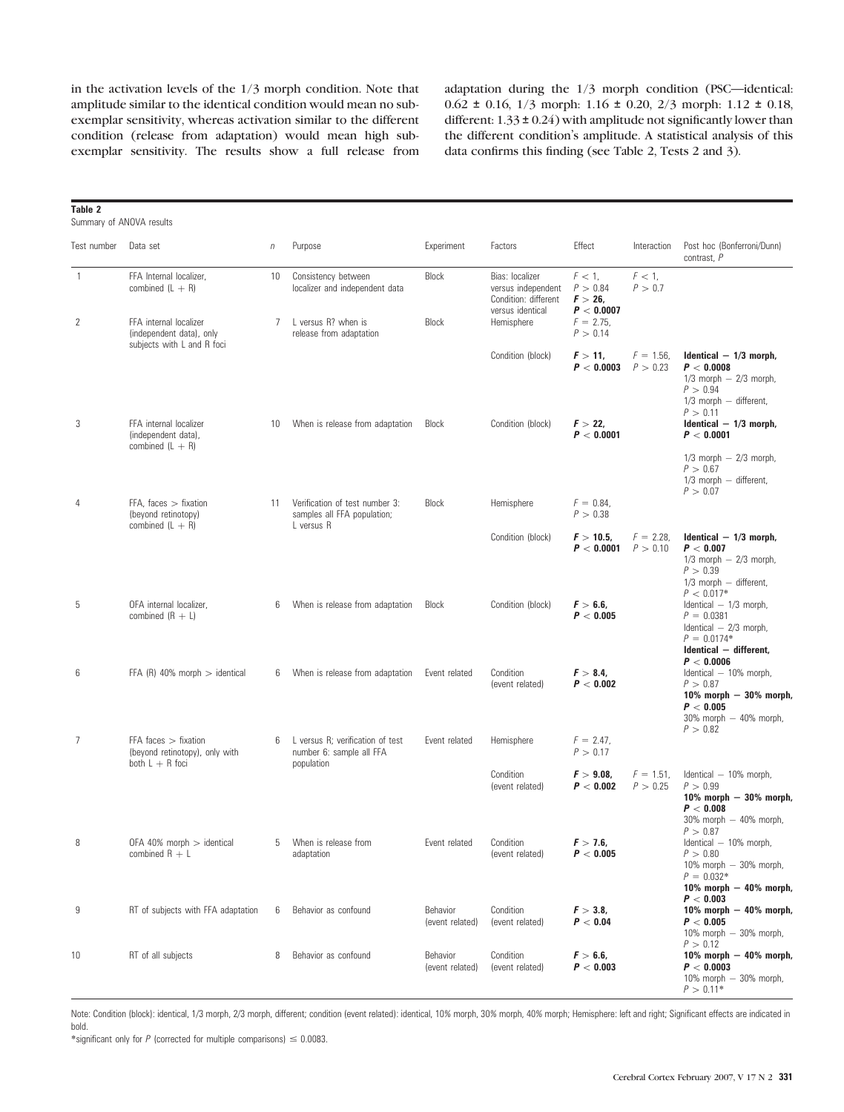in the activation levels of the 1/3 morph condition. Note that amplitude similar to the identical condition would mean no subexemplar sensitivity, whereas activation similar to the different condition (release from adaptation) would mean high subexemplar sensitivity. The results show a full release from adaptation during the 1/3 morph condition (PSC—identical: 0.62 ± 0.16, 1/3 morph: 1.16 ± 0.20, 2/3 morph: 1.12 ± 0.18, different:  $1.33 \pm 0.24$ ) with amplitude not significantly lower than the different condition's amplitude. A statistical analysis of this data confirms this finding (see Table 2, Tests 2 and 3).

| Table 2<br>Summary of ANOVA results |                                                                                  |            |                                                                             |                             |                                                                                   |                                                   |                          |                                                                                                                               |
|-------------------------------------|----------------------------------------------------------------------------------|------------|-----------------------------------------------------------------------------|-----------------------------|-----------------------------------------------------------------------------------|---------------------------------------------------|--------------------------|-------------------------------------------------------------------------------------------------------------------------------|
| Test number                         | Data set                                                                         | $\sqrt{n}$ | Purpose                                                                     | Experiment                  | Factors                                                                           | Effect                                            | Interaction              | Post hoc (Bonferroni/Dunn)<br>contrast, P                                                                                     |
| 1                                   | FFA Internal localizer,<br>combined $(L + R)$                                    | 10<br>7    | Consistency between<br>localizer and independent data                       | <b>Block</b>                | Bias: localizer<br>versus independent<br>Condition: different<br>versus identical | $F < 1$ ,<br>P > 0.84<br>$F > 26$ ,<br>P < 0.0007 | $F<1$ ,<br>P > 0.7       |                                                                                                                               |
| 2                                   | FFA internal localizer<br>(independent data), only<br>subjects with L and R foci |            | L versus R? when is<br>release from adaptation                              | <b>Block</b>                | Hemisphere                                                                        | $F = 2.75$ ,<br>P > 0.14                          |                          |                                                                                                                               |
|                                     |                                                                                  |            |                                                                             |                             | Condition (block)                                                                 | $F > 11$ ,<br>P < 0.0003                          | $F = 1.56$<br>P > 0.23   | Identical $-1/3$ morph,<br>P < 0.0008<br>$1/3$ morph $-2/3$ morph,<br>P > 0.94<br>$1/3$ morph $-$ different,<br>P > 0.11      |
| 3                                   | FFA internal localizer<br>(independent data),<br>combined $(L + R)$              | 10         | When is release from adaptation                                             | Block                       | Condition (block)                                                                 | $F > 22$ ,<br>P < 0.0001                          |                          | Identical $-1/3$ morph,<br>P < 0.0001<br>$1/3$ morph $-2/3$ morph,<br>P > 0.67<br>$1/3$ morph $-$ different,<br>P > 0.07      |
| $\overline{4}$                      | $FFA$ , faces $>$ fixation<br>(beyond retinotopy)<br>combined $(L + R)$          | 11         | Verification of test number 3:<br>samples all FFA population;<br>L versus R | <b>Block</b>                | Hemisphere                                                                        | $F = 0.84$ ,<br>P > 0.38                          |                          |                                                                                                                               |
|                                     |                                                                                  |            |                                                                             |                             | Condition (block)                                                                 | $F > 10.5$ ,<br>$P < 0.0001$ $P > 0.10$           | $F = 2.28$               | Identical $-1/3$ morph.<br>P < 0.007<br>$1/3$ morph $-2/3$ morph,<br>P > 0.39<br>$1/3$ morph $-$ different,<br>$P < 0.017*$   |
| 5                                   | OFA internal localizer.<br>combined $(R + L)$                                    | 6          | When is release from adaptation                                             | Block                       | Condition (block)                                                                 | F > 6.6<br>P < 0.005                              |                          | Identical $-1/3$ morph,<br>$P = 0.0381$<br>Identical $-2/3$ morph,<br>$P = 0.0174*$<br>Identical - different,<br>P < 0.0006   |
| 6                                   | FFA (R) 40% morph $>$ identical                                                  | 6          | When is release from adaptation                                             | Event related               | Condition<br>(event related)                                                      | $F > 8.4$ ,<br>P < 0.002                          |                          | Identical - 10% morph,<br>P > 0.87<br>10% morph - 30% morph,<br>P < 0.005<br>30% morph - 40% morph,<br>P > 0.82               |
| 7                                   | FFA faces $>$ fixation<br>(beyond retinotopy), only with<br>both $L + R$ foci    |            | L versus R; verification of test<br>number 6: sample all FFA<br>population  | Event related               | Hemisphere                                                                        | $F = 2.47$ ,<br>P > 0.17                          |                          |                                                                                                                               |
|                                     |                                                                                  |            |                                                                             |                             | Condition<br>(event related)                                                      | $F > 9.08$ ,<br>P < 0.002                         | $F = 1.51$ .<br>P > 0.25 | Identical - 10% morph,<br>P > 0.99<br>$10\%$ morph $-30\%$ morph,<br>P < 0.008<br>$30\%$ morph $-40\%$ morph,<br>P > 0.87     |
|                                     | OFA 40% morph > identical<br>combined $R + L$                                    |            | 5 When is release from<br>adaptation                                        | Event related               | Condition<br>(event related)                                                      | F > 7.6<br>P < 0.005                              |                          | Identical - 10% morph,<br>P > 0.80<br>$10\%$ morph $-30\%$ morph,<br>$P = 0.032*$<br>$10\%$ morph $-$ 40% morph,<br>P < 0.003 |
| 9                                   | RT of subjects with FFA adaptation                                               | 6          | Behavior as confound                                                        | Behavior<br>(event related) | Condition<br>(event related)                                                      | $F > 3.8$ ,<br>P < 0.04                           |                          | $10\%$ morph $-$ 40% morph,<br>P < 0.005<br>$10\%$ morph $-30\%$ morph,<br>P > 0.12                                           |
| 10                                  | RT of all subjects                                                               | 8          | Behavior as confound                                                        | Behavior<br>(event related) | Condition<br>(event related)                                                      | F > 6.6<br>P < 0.003                              |                          | $10\%$ morph $-40\%$ morph,<br>P < 0.0003<br>10% morph $-30%$ morph,<br>$P > 0.11*$                                           |

Note: Condition (block): identical, 1/3 morph, 2/3 morph, different; condition (event related): identical, 10% morph, 30% morph, 40% morph; Hemisphere: left and right; Significant effects are indicated in bold.

\*significant only for  $P$  (corrected for multiple comparisons)  $\leq 0.0083$ .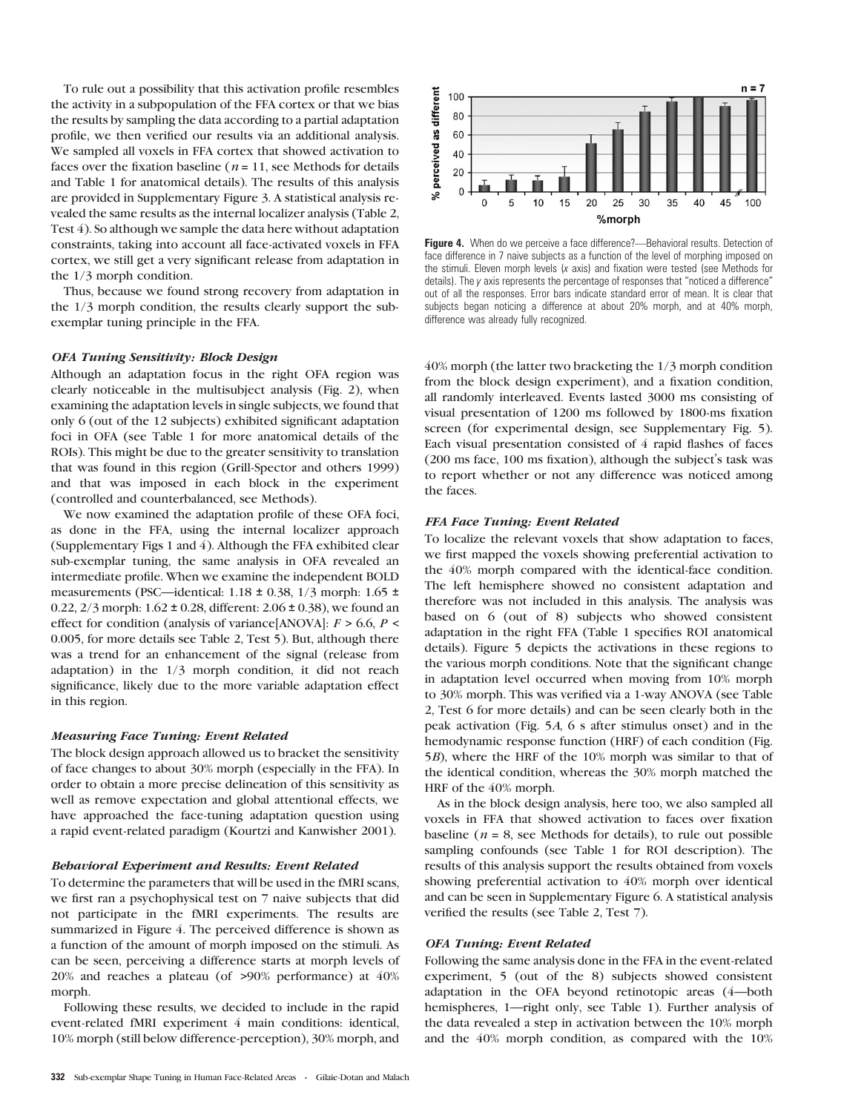To rule out a possibility that this activation profile resembles the activity in a subpopulation of the FFA cortex or that we bias the results by sampling the data according to a partial adaptation profile, we then verified our results via an additional analysis. We sampled all voxels in FFA cortex that showed activation to faces over the fixation baseline ( $n = 11$ , see Methods for details and Table 1 for anatomical details). The results of this analysis are provided in Supplementary Figure 3. A statistical analysis revealed the same results as the internal localizer analysis (Table 2, Test 4). So although we sample the data here without adaptation constraints, taking into account all face-activated voxels in FFA cortex, we still get a very significant release from adaptation in the 1/3 morph condition.

Thus, because we found strong recovery from adaptation in the 1/3 morph condition, the results clearly support the subexemplar tuning principle in the FFA.

## OFA Tuning Sensitivity: Block Design

Although an adaptation focus in the right OFA region was clearly noticeable in the multisubject analysis (Fig. 2), when examining the adaptation levels in single subjects, we found that only 6 (out of the 12 subjects) exhibited significant adaptation foci in OFA (see Table 1 for more anatomical details of the ROIs). This might be due to the greater sensitivity to translation that was found in this region (Grill-Spector and others 1999) and that was imposed in each block in the experiment (controlled and counterbalanced, see Methods).

We now examined the adaptation profile of these OFA foci, as done in the FFA, using the internal localizer approach (Supplementary Figs 1 and 4). Although the FFA exhibited clear sub-exemplar tuning, the same analysis in OFA revealed an intermediate profile. When we examine the independent BOLD measurements (PSC—identical: 1.18 ± 0.38, 1/3 morph: 1.65 ± 0.22,  $2/3$  morph:  $1.62 \pm 0.28$ , different:  $2.06 \pm 0.38$ ), we found an effect for condition (analysis of variance[ANOVA]:  $F > 6.6$ ,  $P <$ 0.005, for more details see Table 2, Test 5). But, although there was a trend for an enhancement of the signal (release from adaptation) in the 1/3 morph condition, it did not reach significance, likely due to the more variable adaptation effect in this region.

#### Measuring Face Tuning: Event Related

The block design approach allowed us to bracket the sensitivity of face changes to about 30% morph (especially in the FFA). In order to obtain a more precise delineation of this sensitivity as well as remove expectation and global attentional effects, we have approached the face-tuning adaptation question using a rapid event-related paradigm (Kourtzi and Kanwisher 2001).

## Behavioral Experiment and Results: Event Related

To determine the parameters that will be used in the fMRI scans, we first ran a psychophysical test on 7 naive subjects that did not participate in the fMRI experiments. The results are summarized in Figure 4. The perceived difference is shown as a function of the amount of morph imposed on the stimuli. As can be seen, perceiving a difference starts at morph levels of 20% and reaches a plateau (of >90% performance) at 40% morph.

Following these results, we decided to include in the rapid event-related fMRI experiment 4 main conditions: identical, 10% morph (still below difference-perception), 30% morph, and



Figure 4. When do we perceive a face difference?—Behavioral results. Detection of face difference in 7 naive subjects as a function of the level of morphing imposed on the stimuli. Eleven morph levels (x axis) and fixation were tested (see Methods for details). The y axis represents the percentage of responses that ''noticed a difference'' out of all the responses. Error bars indicate standard error of mean. It is clear that subjects began noticing a difference at about 20% morph, and at 40% morph, difference was already fully recognized.

40% morph (the latter two bracketing the 1/3 morph condition from the block design experiment), and a fixation condition, all randomly interleaved. Events lasted 3000 ms consisting of visual presentation of 1200 ms followed by 1800-ms fixation screen (for experimental design, see Supplementary Fig. 5). Each visual presentation consisted of 4 rapid flashes of faces (200 ms face, 100 ms fixation), although the subject's task was to report whether or not any difference was noticed among the faces.

## FFA Face Tuning: Event Related

To localize the relevant voxels that show adaptation to faces, we first mapped the voxels showing preferential activation to the 40% morph compared with the identical-face condition. The left hemisphere showed no consistent adaptation and therefore was not included in this analysis. The analysis was based on 6 (out of 8) subjects who showed consistent adaptation in the right FFA (Table 1 specifies ROI anatomical details). Figure 5 depicts the activations in these regions to the various morph conditions. Note that the significant change in adaptation level occurred when moving from 10% morph to 30% morph. This was verified via a 1-way ANOVA (see Table 2, Test 6 for more details) and can be seen clearly both in the peak activation (Fig. 5A, 6 s after stimulus onset) and in the hemodynamic response function (HRF) of each condition (Fig. 5B), where the HRF of the 10% morph was similar to that of the identical condition, whereas the 30% morph matched the HRF of the 40% morph.

As in the block design analysis, here too, we also sampled all voxels in FFA that showed activation to faces over fixation baseline ( $n = 8$ , see Methods for details), to rule out possible sampling confounds (see Table 1 for ROI description). The results of this analysis support the results obtained from voxels showing preferential activation to 40% morph over identical and can be seen in Supplementary Figure 6. A statistical analysis verified the results (see Table 2, Test 7).

### OFA Tuning: Event Related

Following the same analysis done in the FFA in the event-related experiment, 5 (out of the 8) subjects showed consistent adaptation in the OFA beyond retinotopic areas (4—both hemispheres, 1—right only, see Table 1). Further analysis of the data revealed a step in activation between the 10% morph and the 40% morph condition, as compared with the 10%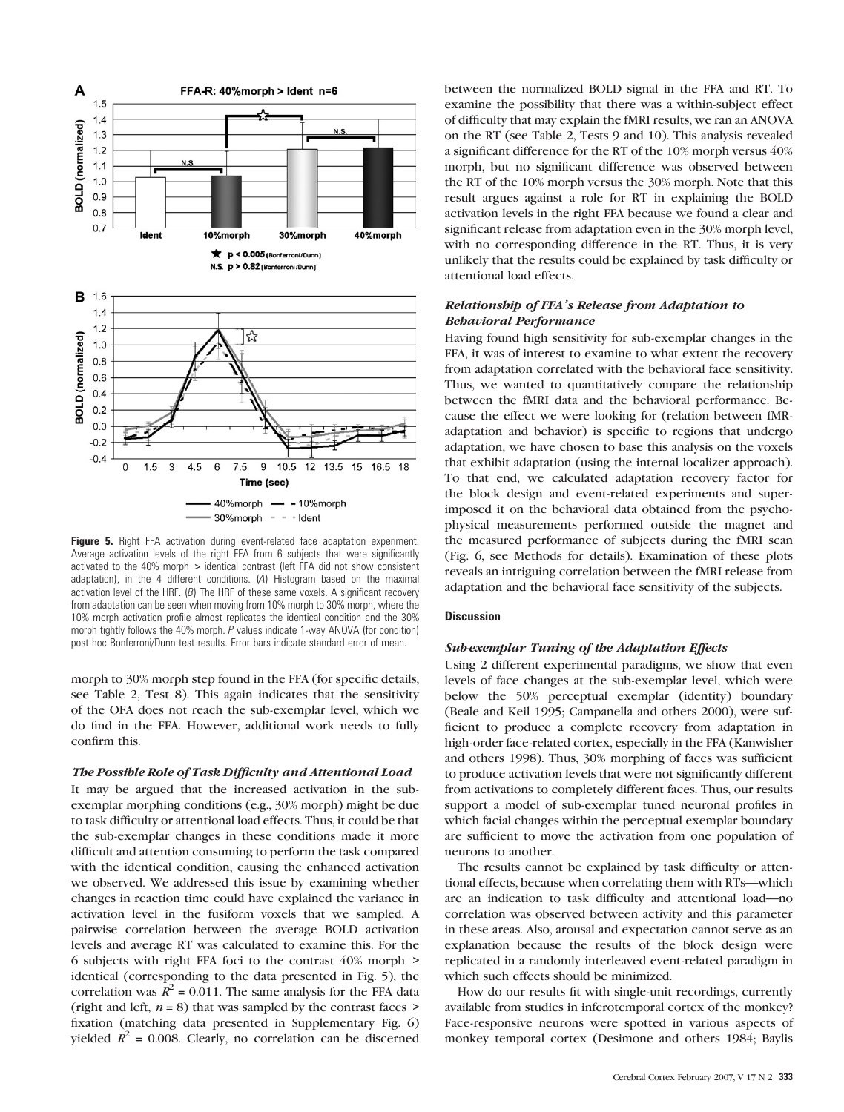

Figure 5. Right FFA activation during event-related face adaptation experiment. Average activation levels of the right FFA from 6 subjects that were significantly activated to the 40% morph > identical contrast (left FFA did not show consistent adaptation), in the 4 different conditions. (A) Histogram based on the maximal activation level of the HRF. (B) The HRF of these same voxels. A significant recovery from adaptation can be seen when moving from 10% morph to 30% morph, where the 10% morph activation profile almost replicates the identical condition and the 30% morph tightly follows the 40% morph. P values indicate 1-way ANOVA (for condition) post hoc Bonferroni/Dunn test results. Error bars indicate standard error of mean.

morph to 30% morph step found in the FFA (for specific details, see Table 2, Test 8). This again indicates that the sensitivity of the OFA does not reach the sub-exemplar level, which we do find in the FFA. However, additional work needs to fully confirm this.

## The Possible Role of Task Difficulty and Attentional Load

It may be argued that the increased activation in the subexemplar morphing conditions (e.g., 30% morph) might be due to task difficulty or attentional load effects. Thus, it could be that the sub-exemplar changes in these conditions made it more difficult and attention consuming to perform the task compared with the identical condition, causing the enhanced activation we observed. We addressed this issue by examining whether changes in reaction time could have explained the variance in activation level in the fusiform voxels that we sampled. A pairwise correlation between the average BOLD activation levels and average RT was calculated to examine this. For the 6 subjects with right FFA foci to the contrast 40% morph > identical (corresponding to the data presented in Fig. 5), the correlation was  $R^2 = 0.011$ . The same analysis for the FFA data (right and left,  $n = 8$ ) that was sampled by the contrast faces  $>$ fixation (matching data presented in Supplementary Fig. 6) yielded  $\mathbb{R}^2$  = 0.008. Clearly, no correlation can be discerned

between the normalized BOLD signal in the FFA and RT. To examine the possibility that there was a within-subject effect of difficulty that may explain the fMRI results, we ran an ANOVA on the RT (see Table 2, Tests 9 and 10). This analysis revealed a significant difference for the RT of the 10% morph versus 40% morph, but no significant difference was observed between the RT of the 10% morph versus the 30% morph. Note that this result argues against a role for RT in explaining the BOLD activation levels in the right FFA because we found a clear and significant release from adaptation even in the 30% morph level, with no corresponding difference in the RT. Thus, it is very unlikely that the results could be explained by task difficulty or attentional load effects.

# Relationship of FFA's Release from Adaptation to Behavioral Performance

Having found high sensitivity for sub-exemplar changes in the FFA, it was of interest to examine to what extent the recovery from adaptation correlated with the behavioral face sensitivity. Thus, we wanted to quantitatively compare the relationship between the fMRI data and the behavioral performance. Because the effect we were looking for (relation between fMRadaptation and behavior) is specific to regions that undergo adaptation, we have chosen to base this analysis on the voxels that exhibit adaptation (using the internal localizer approach). To that end, we calculated adaptation recovery factor for the block design and event-related experiments and superimposed it on the behavioral data obtained from the psychophysical measurements performed outside the magnet and the measured performance of subjects during the fMRI scan (Fig. 6, see Methods for details). Examination of these plots reveals an intriguing correlation between the fMRI release from adaptation and the behavioral face sensitivity of the subjects.

## **Discussion**

## Sub-exemplar Tuning of the Adaptation Effects

Using 2 different experimental paradigms, we show that even levels of face changes at the sub-exemplar level, which were below the 50% perceptual exemplar (identity) boundary (Beale and Keil 1995; Campanella and others 2000), were sufficient to produce a complete recovery from adaptation in high-order face-related cortex, especially in the FFA (Kanwisher and others 1998). Thus, 30% morphing of faces was sufficient to produce activation levels that were not significantly different from activations to completely different faces. Thus, our results support a model of sub-exemplar tuned neuronal profiles in which facial changes within the perceptual exemplar boundary are sufficient to move the activation from one population of neurons to another.

The results cannot be explained by task difficulty or attentional effects, because when correlating them with RTs—which are an indication to task difficulty and attentional load—no correlation was observed between activity and this parameter in these areas. Also, arousal and expectation cannot serve as an explanation because the results of the block design were replicated in a randomly interleaved event-related paradigm in which such effects should be minimized.

How do our results fit with single-unit recordings, currently available from studies in inferotemporal cortex of the monkey? Face-responsive neurons were spotted in various aspects of monkey temporal cortex (Desimone and others 1984; Baylis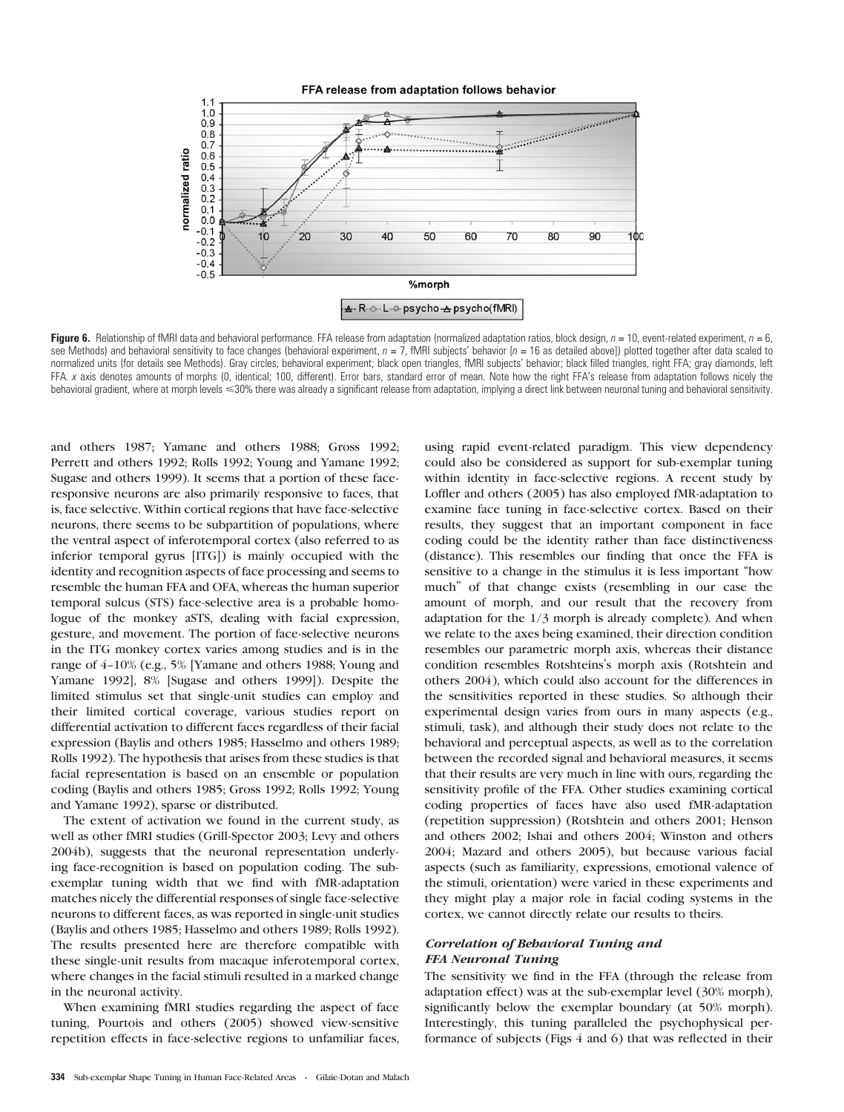

Figure 6. Relationship of fMRI data and behavioral performance. FFA release from adaptation (normalized adaptation ratios, block design,  $n = 10$ , event-related experiment,  $n = 6$ . see Methods) and behavioral sensitivity to face changes (behavioral experiment,  $n = 7$ , fMRI subjects' behavior  $[n = 16$  as detailed above)) plotted together after data scaled to normalized units (for details see Methods). Gray circles, behavioral experiment; black open triangles, fMRI subjects' behavior; black filled triangles, right FFA; gray diamonds, left FFA. x axis denotes amounts of morphs (0, identical; 100, different). Error bars, standard error of mean. Note how the right FFA's release from adaptation follows nicely the behavioral gradient, where at morph levels <30% there was already a significant release from adaptation, implying a direct link between neuronal tuning and behavioral sensitivity.

and others 1987; Yamane and others 1988; Gross 1992; Perrett and others 1992; Rolls 1992; Young and Yamane 1992; Sugase and others 1999). It seems that a portion of these faceresponsive neurons are also primarily responsive to faces, that is, face selective. Within cortical regions that have face-selective neurons, there seems to be subpartition of populations, where the ventral aspect of inferotemporal cortex (also referred to as inferior temporal gyrus [ITG]) is mainly occupied with the identity and recognition aspects of face processing and seems to resemble the human FFA and OFA, whereas the human superior temporal sulcus (STS) face-selective area is a probable homologue of the monkey aSTS, dealing with facial expression, gesture, and movement. The portion of face-selective neurons in the ITG monkey cortex varies among studies and is in the range of 4-10% (e.g., 5% [Yamane and others 1988; Young and Yamane 1992], 8% [Sugase and others 1999]). Despite the limited stimulus set that single-unit studies can employ and their limited cortical coverage, various studies report on differential activation to different faces regardless of their facial expression (Baylis and others 1985; Hasselmo and others 1989; Rolls 1992). The hypothesis that arises from these studies is that facial representation is based on an ensemble or population coding (Baylis and others 1985; Gross 1992; Rolls 1992; Young and Yamane 1992), sparse or distributed.

The extent of activation we found in the current study, as well as other fMRI studies (Grill-Spector 2003; Levy and others 2004b), suggests that the neuronal representation underlying face-recognition is based on population coding. The subexemplar tuning width that we find with fMR-adaptation matches nicely the differential responses of single face-selective neurons to different faces, as was reported in single-unit studies (Baylis and others 1985; Hasselmo and others 1989; Rolls 1992). The results presented here are therefore compatible with these single-unit results from macaque inferotemporal cortex, where changes in the facial stimuli resulted in a marked change in the neuronal activity.

When examining fMRI studies regarding the aspect of face tuning, Pourtois and others (2005) showed view-sensitive repetition effects in face-selective regions to unfamiliar faces, using rapid event-related paradigm. This view dependency could also be considered as support for sub-exemplar tuning within identity in face-selective regions. A recent study by Loffler and others (2005) has also employed fMR-adaptation to examine face tuning in face-selective cortex. Based on their results, they suggest that an important component in face coding could be the identity rather than face distinctiveness (distance). This resembles our finding that once the FFA is sensitive to a change in the stimulus it is less important ''how much'' of that change exists (resembling in our case the amount of morph, and our result that the recovery from adaptation for the 1/3 morph is already complete). And when we relate to the axes being examined, their direction condition resembles our parametric morph axis, whereas their distance condition resembles Rotshteins's morph axis (Rotshtein and others 2004), which could also account for the differences in the sensitivities reported in these studies. So although their experimental design varies from ours in many aspects (e.g., stimuli, task), and although their study does not relate to the behavioral and perceptual aspects, as well as to the correlation between the recorded signal and behavioral measures, it seems that their results are very much in line with ours, regarding the sensitivity profile of the FFA. Other studies examining cortical coding properties of faces have also used fMR-adaptation (repetition suppression) (Rotshtein and others 2001; Henson and others 2002; Ishai and others 2004; Winston and others 2004; Mazard and others 2005), but because various facial aspects (such as familiarity, expressions, emotional valence of the stimuli, orientation) were varied in these experiments and they might play a major role in facial coding systems in the cortex, we cannot directly relate our results to theirs.

# Correlation of Behavioral Tuning and FFA Neuronal Tuning

The sensitivity we find in the FFA (through the release from adaptation effect) was at the sub-exemplar level (30% morph), significantly below the exemplar boundary (at 50% morph). Interestingly, this tuning paralleled the psychophysical performance of subjects (Figs 4 and 6) that was reflected in their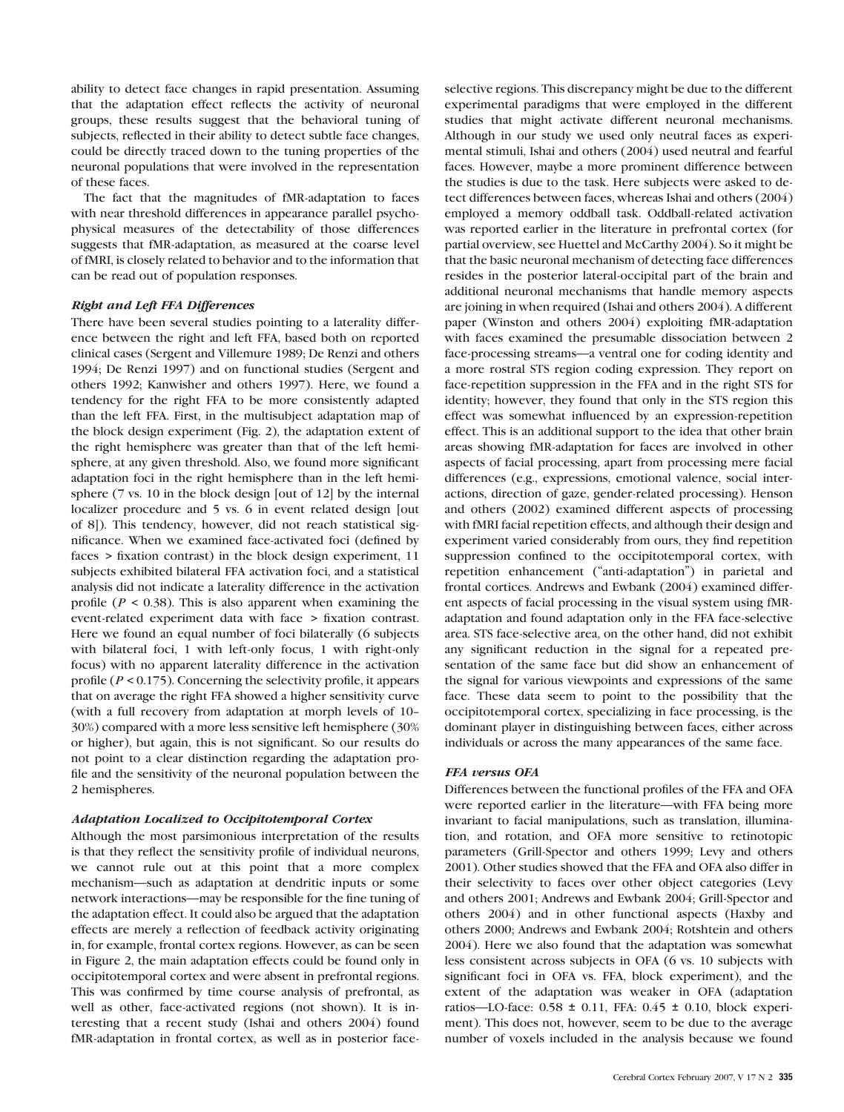ability to detect face changes in rapid presentation. Assuming that the adaptation effect reflects the activity of neuronal groups, these results suggest that the behavioral tuning of subjects, reflected in their ability to detect subtle face changes, could be directly traced down to the tuning properties of the neuronal populations that were involved in the representation of these faces.

The fact that the magnitudes of fMR-adaptation to faces with near threshold differences in appearance parallel psychophysical measures of the detectability of those differences suggests that fMR-adaptation, as measured at the coarse level of fMRI, is closely related to behavior and to the information that can be read out of population responses.

# Right and Left FFA Differences

There have been several studies pointing to a laterality difference between the right and left FFA, based both on reported clinical cases (Sergent and Villemure 1989; De Renzi and others 1994; De Renzi 1997) and on functional studies (Sergent and others 1992; Kanwisher and others 1997). Here, we found a tendency for the right FFA to be more consistently adapted than the left FFA. First, in the multisubject adaptation map of the block design experiment (Fig. 2), the adaptation extent of the right hemisphere was greater than that of the left hemisphere, at any given threshold. Also, we found more significant adaptation foci in the right hemisphere than in the left hemisphere (7 vs. 10 in the block design [out of 12] by the internal localizer procedure and 5 vs. 6 in event related design [out of 8]). This tendency, however, did not reach statistical significance. When we examined face-activated foci (defined by faces > fixation contrast) in the block design experiment, 11 subjects exhibited bilateral FFA activation foci, and a statistical analysis did not indicate a laterality difference in the activation profile ( $P < 0.38$ ). This is also apparent when examining the event-related experiment data with face > fixation contrast. Here we found an equal number of foci bilaterally (6 subjects with bilateral foci, 1 with left-only focus, 1 with right-only focus) with no apparent laterality difference in the activation profile ( $P \le 0.175$ ). Concerning the selectivity profile, it appears that on average the right FFA showed a higher sensitivity curve (with a full recovery from adaptation at morph levels of 10-- 30%) compared with a more less sensitive left hemisphere (30% or higher), but again, this is not significant. So our results do not point to a clear distinction regarding the adaptation profile and the sensitivity of the neuronal population between the 2 hemispheres.

# Adaptation Localized to Occipitotemporal Cortex

Although the most parsimonious interpretation of the results is that they reflect the sensitivity profile of individual neurons, we cannot rule out at this point that a more complex mechanism—such as adaptation at dendritic inputs or some network interactions—may be responsible for the fine tuning of the adaptation effect. It could also be argued that the adaptation effects are merely a reflection of feedback activity originating in, for example, frontal cortex regions. However, as can be seen in Figure 2, the main adaptation effects could be found only in occipitotemporal cortex and were absent in prefrontal regions. This was confirmed by time course analysis of prefrontal, as well as other, face-activated regions (not shown). It is interesting that a recent study (Ishai and others 2004) found fMR-adaptation in frontal cortex, as well as in posterior faceselective regions. This discrepancy might be due to the different experimental paradigms that were employed in the different studies that might activate different neuronal mechanisms. Although in our study we used only neutral faces as experimental stimuli, Ishai and others (2004) used neutral and fearful faces. However, maybe a more prominent difference between the studies is due to the task. Here subjects were asked to detect differences between faces, whereas Ishai and others (2004) employed a memory oddball task. Oddball-related activation was reported earlier in the literature in prefrontal cortex (for partial overview, see Huettel and McCarthy 2004). So it might be that the basic neuronal mechanism of detecting face differences resides in the posterior lateral-occipital part of the brain and additional neuronal mechanisms that handle memory aspects are joining in when required (Ishai and others 2004). A different paper (Winston and others 2004) exploiting fMR-adaptation with faces examined the presumable dissociation between 2 face-processing streams—a ventral one for coding identity and a more rostral STS region coding expression. They report on face-repetition suppression in the FFA and in the right STS for identity; however, they found that only in the STS region this effect was somewhat influenced by an expression-repetition effect. This is an additional support to the idea that other brain areas showing fMR-adaptation for faces are involved in other aspects of facial processing, apart from processing mere facial differences (e.g., expressions, emotional valence, social interactions, direction of gaze, gender-related processing). Henson and others (2002) examined different aspects of processing with fMRI facial repetition effects, and although their design and experiment varied considerably from ours, they find repetition suppression confined to the occipitotemporal cortex, with repetition enhancement (''anti-adaptation'') in parietal and frontal cortices. Andrews and Ewbank (2004) examined different aspects of facial processing in the visual system using fMRadaptation and found adaptation only in the FFA face-selective area. STS face-selective area, on the other hand, did not exhibit any significant reduction in the signal for a repeated presentation of the same face but did show an enhancement of the signal for various viewpoints and expressions of the same face. These data seem to point to the possibility that the occipitotemporal cortex, specializing in face processing, is the dominant player in distinguishing between faces, either across individuals or across the many appearances of the same face.

# FFA versus OFA

Differences between the functional profiles of the FFA and OFA were reported earlier in the literature—with FFA being more invariant to facial manipulations, such as translation, illumination, and rotation, and OFA more sensitive to retinotopic parameters (Grill-Spector and others 1999; Levy and others 2001). Other studies showed that the FFA and OFA also differ in their selectivity to faces over other object categories (Levy and others 2001; Andrews and Ewbank 2004; Grill-Spector and others 2004) and in other functional aspects (Haxby and others 2000; Andrews and Ewbank 2004; Rotshtein and others 2004). Here we also found that the adaptation was somewhat less consistent across subjects in OFA (6 vs. 10 subjects with significant foci in OFA vs. FFA, block experiment), and the extent of the adaptation was weaker in OFA (adaptation ratios—LO-face:  $0.58 \pm 0.11$ , FFA:  $0.45 \pm 0.10$ , block experiment). This does not, however, seem to be due to the average number of voxels included in the analysis because we found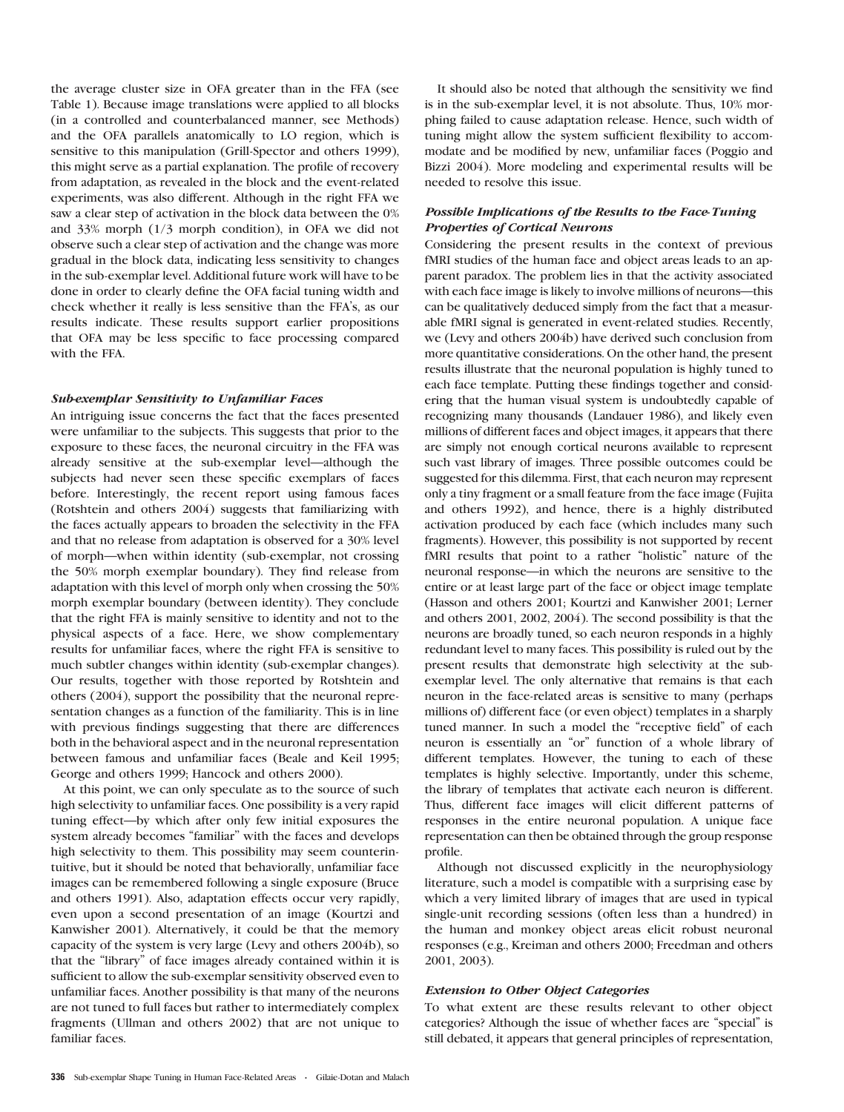the average cluster size in OFA greater than in the FFA (see Table 1). Because image translations were applied to all blocks (in a controlled and counterbalanced manner, see Methods) and the OFA parallels anatomically to LO region, which is sensitive to this manipulation (Grill-Spector and others 1999), this might serve as a partial explanation. The profile of recovery from adaptation, as revealed in the block and the event-related experiments, was also different. Although in the right FFA we saw a clear step of activation in the block data between the 0% and 33% morph (1/3 morph condition), in OFA we did not observe such a clear step of activation and the change was more gradual in the block data, indicating less sensitivity to changes in the sub-exemplar level. Additional future work will have to be done in order to clearly define the OFA facial tuning width and check whether it really is less sensitive than the FFA's, as our results indicate. These results support earlier propositions that OFA may be less specific to face processing compared with the FFA.

## Sub-exemplar Sensitivity to Unfamiliar Faces

An intriguing issue concerns the fact that the faces presented were unfamiliar to the subjects. This suggests that prior to the exposure to these faces, the neuronal circuitry in the FFA was already sensitive at the sub-exemplar level—although the subjects had never seen these specific exemplars of faces before. Interestingly, the recent report using famous faces (Rotshtein and others 2004) suggests that familiarizing with the faces actually appears to broaden the selectivity in the FFA and that no release from adaptation is observed for a 30% level of morph—when within identity (sub-exemplar, not crossing the 50% morph exemplar boundary). They find release from adaptation with this level of morph only when crossing the 50% morph exemplar boundary (between identity). They conclude that the right FFA is mainly sensitive to identity and not to the physical aspects of a face. Here, we show complementary results for unfamiliar faces, where the right FFA is sensitive to much subtler changes within identity (sub-exemplar changes). Our results, together with those reported by Rotshtein and others (2004), support the possibility that the neuronal representation changes as a function of the familiarity. This is in line with previous findings suggesting that there are differences both in the behavioral aspect and in the neuronal representation between famous and unfamiliar faces (Beale and Keil 1995; George and others 1999; Hancock and others 2000).

At this point, we can only speculate as to the source of such high selectivity to unfamiliar faces. One possibility is a very rapid tuning effect—by which after only few initial exposures the system already becomes "familiar" with the faces and develops high selectivity to them. This possibility may seem counterintuitive, but it should be noted that behaviorally, unfamiliar face images can be remembered following a single exposure (Bruce and others 1991). Also, adaptation effects occur very rapidly, even upon a second presentation of an image (Kourtzi and Kanwisher 2001). Alternatively, it could be that the memory capacity of the system is very large (Levy and others 2004b), so that the ''library'' of face images already contained within it is sufficient to allow the sub-exemplar sensitivity observed even to unfamiliar faces. Another possibility is that many of the neurons are not tuned to full faces but rather to intermediately complex fragments (Ullman and others 2002) that are not unique to familiar faces.

It should also be noted that although the sensitivity we find is in the sub-exemplar level, it is not absolute. Thus, 10% morphing failed to cause adaptation release. Hence, such width of tuning might allow the system sufficient flexibility to accommodate and be modified by new, unfamiliar faces (Poggio and Bizzi 2004). More modeling and experimental results will be needed to resolve this issue.

# Possible Implications of the Results to the Face-Tuning Properties of Cortical Neurons

Considering the present results in the context of previous fMRI studies of the human face and object areas leads to an apparent paradox. The problem lies in that the activity associated with each face image is likely to involve millions of neurons—this can be qualitatively deduced simply from the fact that a measurable fMRI signal is generated in event-related studies. Recently, we (Levy and others 2004b) have derived such conclusion from more quantitative considerations. On the other hand, the present results illustrate that the neuronal population is highly tuned to each face template. Putting these findings together and considering that the human visual system is undoubtedly capable of recognizing many thousands (Landauer 1986), and likely even millions of different faces and object images, it appears that there are simply not enough cortical neurons available to represent such vast library of images. Three possible outcomes could be suggested for this dilemma. First, that each neuron may represent only a tiny fragment or a small feature from the face image (Fujita and others 1992), and hence, there is a highly distributed activation produced by each face (which includes many such fragments). However, this possibility is not supported by recent fMRI results that point to a rather "holistic" nature of the neuronal response—in which the neurons are sensitive to the entire or at least large part of the face or object image template (Hasson and others 2001; Kourtzi and Kanwisher 2001; Lerner and others 2001, 2002, 2004). The second possibility is that the neurons are broadly tuned, so each neuron responds in a highly redundant level to many faces. This possibility is ruled out by the present results that demonstrate high selectivity at the subexemplar level. The only alternative that remains is that each neuron in the face-related areas is sensitive to many (perhaps millions of) different face (or even object) templates in a sharply tuned manner. In such a model the "receptive field" of each neuron is essentially an "or" function of a whole library of different templates. However, the tuning to each of these templates is highly selective. Importantly, under this scheme, the library of templates that activate each neuron is different. Thus, different face images will elicit different patterns of responses in the entire neuronal population. A unique face representation can then be obtained through the group response profile.

Although not discussed explicitly in the neurophysiology literature, such a model is compatible with a surprising ease by which a very limited library of images that are used in typical single-unit recording sessions (often less than a hundred) in the human and monkey object areas elicit robust neuronal responses (e.g., Kreiman and others 2000; Freedman and others 2001, 2003).

# Extension to Other Object Categories

To what extent are these results relevant to other object categories? Although the issue of whether faces are ''special'' is still debated, it appears that general principles of representation,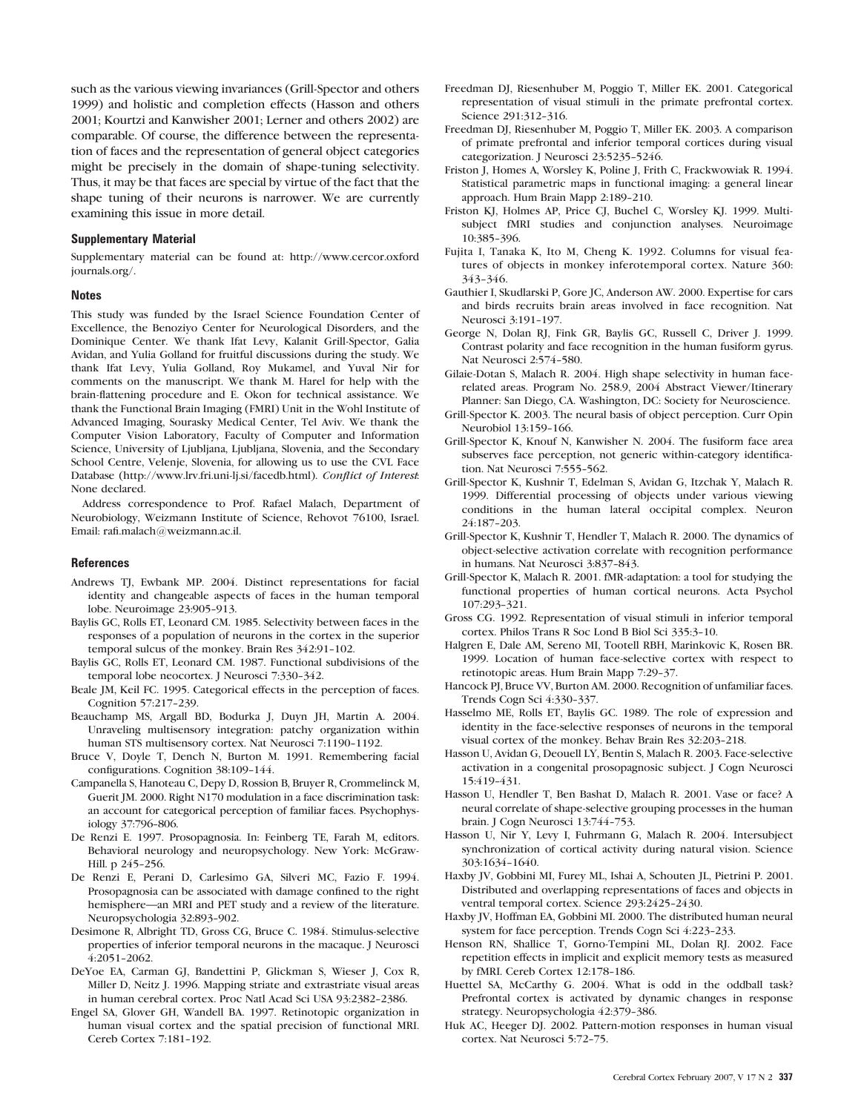such as the various viewing invariances (Grill-Spector and others 1999) and holistic and completion effects (Hasson and others 2001; Kourtzi and Kanwisher 2001; Lerner and others 2002) are comparable. Of course, the difference between the representation of faces and the representation of general object categories might be precisely in the domain of shape-tuning selectivity. Thus, it may be that faces are special by virtue of the fact that the shape tuning of their neurons is narrower. We are currently examining this issue in more detail.

## Supplementary Material

Supplementary material can be found at: [http://www.cercor.oxford](http://www.cercor.oxfordjournals.org/) [journals.org/.](http://www.cercor.oxfordjournals.org/)

#### **Notes**

This study was funded by the Israel Science Foundation Center of Excellence, the Benoziyo Center for Neurological Disorders, and the Dominique Center. We thank Ifat Levy, Kalanit Grill-Spector, Galia Avidan, and Yulia Golland for fruitful discussions during the study. We thank Ifat Levy, Yulia Golland, Roy Mukamel, and Yuval Nir for comments on the manuscript. We thank M. Harel for help with the brain-flattening procedure and E. Okon for technical assistance. We thank the Functional Brain Imaging (FMRI) Unit in the Wohl Institute of Advanced Imaging, Sourasky Medical Center, Tel Aviv. We thank the Computer Vision Laboratory, Faculty of Computer and Information Science, University of Ljubljana, Ljubljana, Slovenia, and the Secondary School Centre, Velenje, Slovenia, for allowing us to use the CVL Face Database [\(http://www.lrv.fri.uni-lj.si/facedb.html\).](http://www.lrv.fri.uni-lj.si/facedb.html) Conflict of Interest: None declared.

Address correspondence to Prof. Rafael Malach, Department of Neurobiology, Weizmann Institute of Science, Rehovot 76100, Israel. Email: rafi.malach@weizmann.ac.il.

#### References

- Andrews TJ, Ewbank MP. 2004. Distinct representations for facial identity and changeable aspects of faces in the human temporal lobe. Neuroimage 23:905-913.
- Baylis GC, Rolls ET, Leonard CM. 1985. Selectivity between faces in the responses of a population of neurons in the cortex in the superior temporal sulcus of the monkey. Brain Res 342:91-102.
- Baylis GC, Rolls ET, Leonard CM. 1987. Functional subdivisions of the temporal lobe neocortex. J Neurosci 7:330-342.
- Beale JM, Keil FC. 1995. Categorical effects in the perception of faces. Cognition 57:217-239.
- Beauchamp MS, Argall BD, Bodurka J, Duyn JH, Martin A. 2004. Unraveling multisensory integration: patchy organization within human STS multisensory cortex. Nat Neurosci 7:1190-1192.
- Bruce V, Doyle T, Dench N, Burton M. 1991. Remembering facial configurations. Cognition 38:109-144.
- Campanella S, Hanoteau C, Depy D, Rossion B, Bruyer R, Crommelinck M, Guerit JM. 2000. Right N170 modulation in a face discrimination task: an account for categorical perception of familiar faces. Psychophysiology 37:796-806.
- De Renzi E. 1997. Prosopagnosia. In: Feinberg TE, Farah M, editors. Behavioral neurology and neuropsychology. New York: McGraw-Hill. p 245-256.
- De Renzi E, Perani D, Carlesimo GA, Silveri MC, Fazio F. 1994. Prosopagnosia can be associated with damage confined to the right hemisphere—an MRI and PET study and a review of the literature. Neuropsychologia 32:893-902.
- Desimone R, Albright TD, Gross CG, Bruce C. 1984. Stimulus-selective properties of inferior temporal neurons in the macaque. J Neurosci  $4:2051-2062$ .
- DeYoe EA, Carman GJ, Bandettini P, Glickman S, Wieser J, Cox R, Miller D, Neitz J. 1996. Mapping striate and extrastriate visual areas in human cerebral cortex. Proc Natl Acad Sci USA 93:2382-2386.
- Engel SA, Glover GH, Wandell BA. 1997. Retinotopic organization in human visual cortex and the spatial precision of functional MRI. Cereb Cortex 7:181-192.
- Freedman DJ, Riesenhuber M, Poggio T, Miller EK. 2001. Categorical representation of visual stimuli in the primate prefrontal cortex. Science 291:312-316.
- Freedman DJ, Riesenhuber M, Poggio T, Miller EK. 2003. A comparison of primate prefrontal and inferior temporal cortices during visual categorization. J Neurosci 23:5235-5246.
- Friston J, Homes A, Worsley K, Poline J, Frith C, Frackwowiak R. 1994. Statistical parametric maps in functional imaging: a general linear approach. Hum Brain Mapp 2:189-210.
- Friston KJ, Holmes AP, Price CJ, Buchel C, Worsley KJ. 1999. Multisubject fMRI studies and conjunction analyses. Neuroimage 10:385-396.
- Fujita I, Tanaka K, Ito M, Cheng K. 1992. Columns for visual features of objects in monkey inferotemporal cortex. Nature 360: 343--346.
- Gauthier I, Skudlarski P, Gore JC, Anderson AW. 2000. Expertise for cars and birds recruits brain areas involved in face recognition. Nat Neurosci 3:191-197.
- George N, Dolan RJ, Fink GR, Baylis GC, Russell C, Driver J. 1999. Contrast polarity and face recognition in the human fusiform gyrus. Nat Neurosci 2:574-580.
- Gilaie-Dotan S, Malach R. 2004. High shape selectivity in human facerelated areas. Program No. 258.9, 2004 Abstract Viewer/Itinerary Planner: San Diego, CA. Washington, DC: Society for Neuroscience.
- Grill-Spector K. 2003. The neural basis of object perception. Curr Opin Neurobiol 13:159-166.
- Grill-Spector K, Knouf N, Kanwisher N. 2004. The fusiform face area subserves face perception, not generic within-category identification. Nat Neurosci 7:555-562.
- Grill-Spector K, Kushnir T, Edelman S, Avidan G, Itzchak Y, Malach R. 1999. Differential processing of objects under various viewing conditions in the human lateral occipital complex. Neuron 24:187-203.
- Grill-Spector K, Kushnir T, Hendler T, Malach R. 2000. The dynamics of object-selective activation correlate with recognition performance in humans. Nat Neurosci 3:837-843.
- Grill-Spector K, Malach R. 2001. fMR-adaptation: a tool for studying the functional properties of human cortical neurons. Acta Psychol 107:293--321.
- Gross CG. 1992. Representation of visual stimuli in inferior temporal cortex. Philos Trans R Soc Lond B Biol Sci 335:3-10.
- Halgren E, Dale AM, Sereno MI, Tootell RBH, Marinkovic K, Rosen BR. 1999. Location of human face-selective cortex with respect to retinotopic areas. Hum Brain Mapp 7:29-37.
- Hancock PJ, Bruce VV, Burton AM. 2000. Recognition of unfamiliar faces. Trends Cogn Sci 4:330-337.
- Hasselmo ME, Rolls ET, Baylis GC. 1989. The role of expression and identity in the face-selective responses of neurons in the temporal visual cortex of the monkey. Behav Brain Res 32:203-218.
- Hasson U, Avidan G, Deouell LY, Bentin S, Malach R. 2003. Face-selective activation in a congenital prosopagnosic subject. J Cogn Neurosci 15:419-431.
- Hasson U, Hendler T, Ben Bashat D, Malach R. 2001. Vase or face? A neural correlate of shape-selective grouping processes in the human brain. J Cogn Neurosci 13:744-753.
- Hasson U, Nir Y, Levy I, Fuhrmann G, Malach R. 2004. Intersubject synchronization of cortical activity during natural vision. Science 303:1634--1640.
- Haxby JV, Gobbini MI, Furey ML, Ishai A, Schouten JL, Pietrini P. 2001. Distributed and overlapping representations of faces and objects in ventral temporal cortex. Science 293:2425-2430.
- Haxby JV, Hoffman EA, Gobbini MI. 2000. The distributed human neural system for face perception. Trends Cogn Sci 4:223-233.
- Henson RN, Shallice T, Gorno-Tempini ML, Dolan RJ. 2002. Face repetition effects in implicit and explicit memory tests as measured by fMRI. Cereb Cortex 12:178-186.
- Huettel SA, McCarthy G. 2004. What is odd in the oddball task? Prefrontal cortex is activated by dynamic changes in response strategy. Neuropsychologia 42:379-386.
- Huk AC, Heeger DJ. 2002. Pattern-motion responses in human visual cortex. Nat Neurosci 5:72-75.